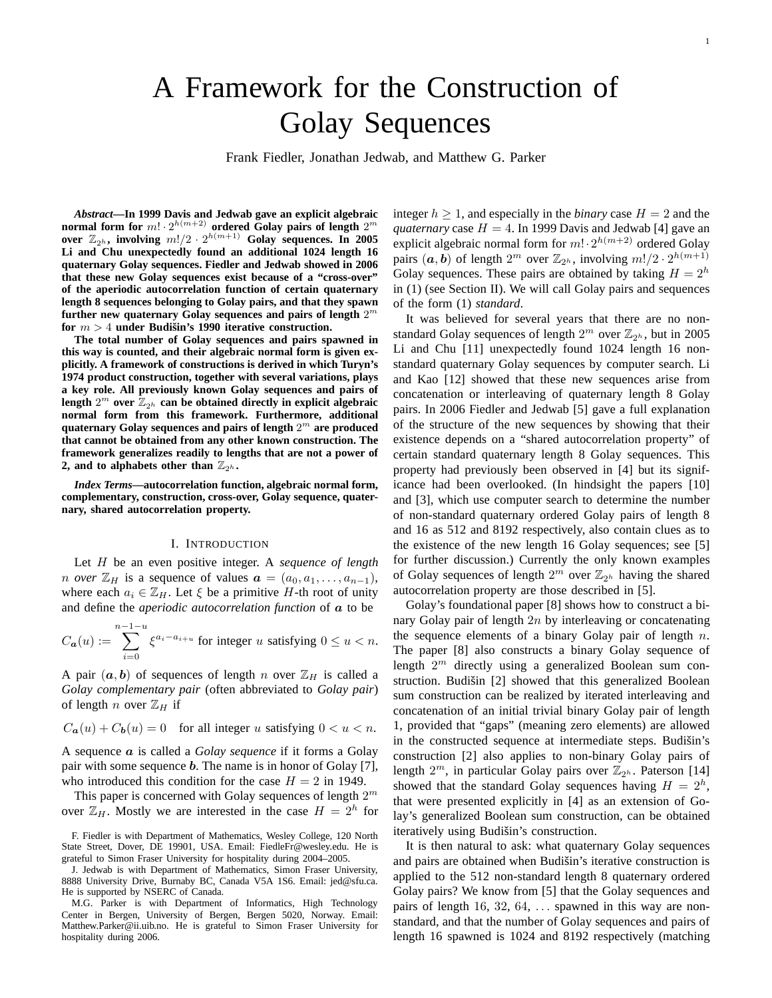# A Framework for the Construction of Golay Sequences

Frank Fiedler, Jonathan Jedwab, and Matthew G. Parker

*Abstract***—In 1999 Davis and Jedwab gave an explicit algebraic** normal form for  $m! \cdot 2^{h(m+2)}$  ordered Golay pairs of length  $2^m$ over  $\mathbb{Z}_{2^h}$ , involving  $m!/2 \cdot 2^{h(m+1)}$  Golay sequences. In 2005 **Li and Chu unexpectedly found an additional 1024 length 16 quaternary Golay sequences. Fiedler and Jedwab showed in 2006 that these new Golay sequences exist because of a "cross-over" of the aperiodic autocorrelation function of certain quaternary length 8 sequences belonging to Golay pairs, and that they spawn further new quaternary Golay sequences and pairs of length** 2 m for  $m > 4$  **under Budišin's 1990 iterative construction.** 

**The total number of Golay sequences and pairs spawned in this way is counted, and their algebraic normal form is given explicitly. A framework of constructions is derived in which Turyn's 1974 product construction, together with several variations, plays a key role. All previously known Golay sequences and pairs of** length  $2^m$  over  $\mathbb{Z}_{2^h}$  can be obtained directly in explicit algebraic **normal form from this framework. Furthermore, additional quaternary Golay sequences and pairs of length** 2 <sup>m</sup> **are produced that cannot be obtained from any other known construction. The framework generalizes readily to lengths that are not a power of** 2, and to alphabets other than  $\mathbb{Z}_{2^h}$ .

*Index Terms***—autocorrelation function, algebraic normal form, complementary, construction, cross-over, Golay sequence, quaternary, shared autocorrelation property.**

### I. INTRODUCTION

Let H be an even positive integer. A *sequence of length n over*  $\mathbb{Z}_H$  is a sequence of values  $a = (a_0, a_1, \ldots, a_{n-1})$ , where each  $a_i \in \mathbb{Z}_H$ . Let  $\xi$  be a primitive H-th root of unity and define the *aperiodic autocorrelation function* of a to be

$$
C_{\mathbf{a}}(u) := \sum_{i=0}^{n-1-u} \xi^{a_i - a_{i+u}} \text{ for integer } u \text{ satisfying } 0 \le u < n.
$$

A pair  $(a, b)$  of sequences of length n over  $\mathbb{Z}_H$  is called a *Golay complementary pair* (often abbreviated to *Golay pair*) of length n over  $\mathbb{Z}_H$  if

$$
C_{a}(u) + C_{b}(u) = 0 \quad \text{for all integer } u \text{ satisfying } 0 < u < n.
$$

A sequence a is called a *Golay sequence* if it forms a Golay pair with some sequence  $b$ . The name is in honor of Golay [7], who introduced this condition for the case  $H = 2$  in 1949.

This paper is concerned with Golay sequences of length  $2^m$ over  $\mathbb{Z}_H$ . Mostly we are interested in the case  $H = 2^h$  for integer  $h \geq 1$ , and especially in the *binary* case  $H = 2$  and the *quaternary* case  $H = 4$ . In 1999 Davis and Jedwab [4] gave an explicit algebraic normal form for  $m! \cdot 2^{h(m+2)}$  ordered Golay pairs  $(a, b)$  of length  $2^m$  over  $\mathbb{Z}_{2^h}$ , involving  $m!/2 \cdot 2^{h(m+1)}$ Golay sequences. These pairs are obtained by taking  $H = 2<sup>h</sup>$ in (1) (see Section II). We will call Golay pairs and sequences of the form (1) *standard*.

It was believed for several years that there are no nonstandard Golay sequences of length  $2^m$  over  $\mathbb{Z}_{2^h}$ , but in 2005 Li and Chu [11] unexpectedly found 1024 length 16 nonstandard quaternary Golay sequences by computer search. Li and Kao [12] showed that these new sequences arise from concatenation or interleaving of quaternary length 8 Golay pairs. In 2006 Fiedler and Jedwab [5] gave a full explanation of the structure of the new sequences by showing that their existence depends on a "shared autocorrelation property" of certain standard quaternary length 8 Golay sequences. This property had previously been observed in [4] but its significance had been overlooked. (In hindsight the papers [10] and [3], which use computer search to determine the number of non-standard quaternary ordered Golay pairs of length 8 and 16 as 512 and 8192 respectively, also contain clues as to the existence of the new length 16 Golay sequences; see [5] for further discussion.) Currently the only known examples of Golay sequences of length  $2^m$  over  $\mathbb{Z}_{2^h}$  having the shared autocorrelation property are those described in [5].

Golay's foundational paper [8] shows how to construct a binary Golay pair of length  $2n$  by interleaving or concatenating the sequence elements of a binary Golay pair of length  $n$ . The paper [8] also constructs a binary Golay sequence of length  $2^m$  directly using a generalized Boolean sum construction. Budišin [2] showed that this generalized Boolean sum construction can be realized by iterated interleaving and concatenation of an initial trivial binary Golay pair of length 1, provided that "gaps" (meaning zero elements) are allowed in the constructed sequence at intermediate steps. Budišin's construction [2] also applies to non-binary Golay pairs of length  $2^m$ , in particular Golay pairs over  $\mathbb{Z}_{2^h}$ . Paterson [14] showed that the standard Golay sequences having  $H = 2<sup>h</sup>$ , that were presented explicitly in [4] as an extension of Golay's generalized Boolean sum construction, can be obtained iteratively using Budišin's construction.

It is then natural to ask: what quaternary Golay sequences and pairs are obtained when Budišin's iterative construction is applied to the 512 non-standard length 8 quaternary ordered Golay pairs? We know from [5] that the Golay sequences and pairs of length 16, 32, 64, ... spawned in this way are nonstandard, and that the number of Golay sequences and pairs of length 16 spawned is 1024 and 8192 respectively (matching

F. Fiedler is with Department of Mathematics, Wesley College, 120 North State Street, Dover, DE 19901, USA. Email: FiedleFr@wesley.edu. He is grateful to Simon Fraser University for hospitality during 2004–2005.

J. Jedwab is with Department of Mathematics, Simon Fraser University, 8888 University Drive, Burnaby BC, Canada V5A 1S6. Email: jed@sfu.ca. He is supported by NSERC of Canada.

M.G. Parker is with Department of Informatics, High Technology Center in Bergen, University of Bergen, Bergen 5020, Norway. Email: Matthew.Parker@ii.uib.no. He is grateful to Simon Fraser University for hospitality during 2006.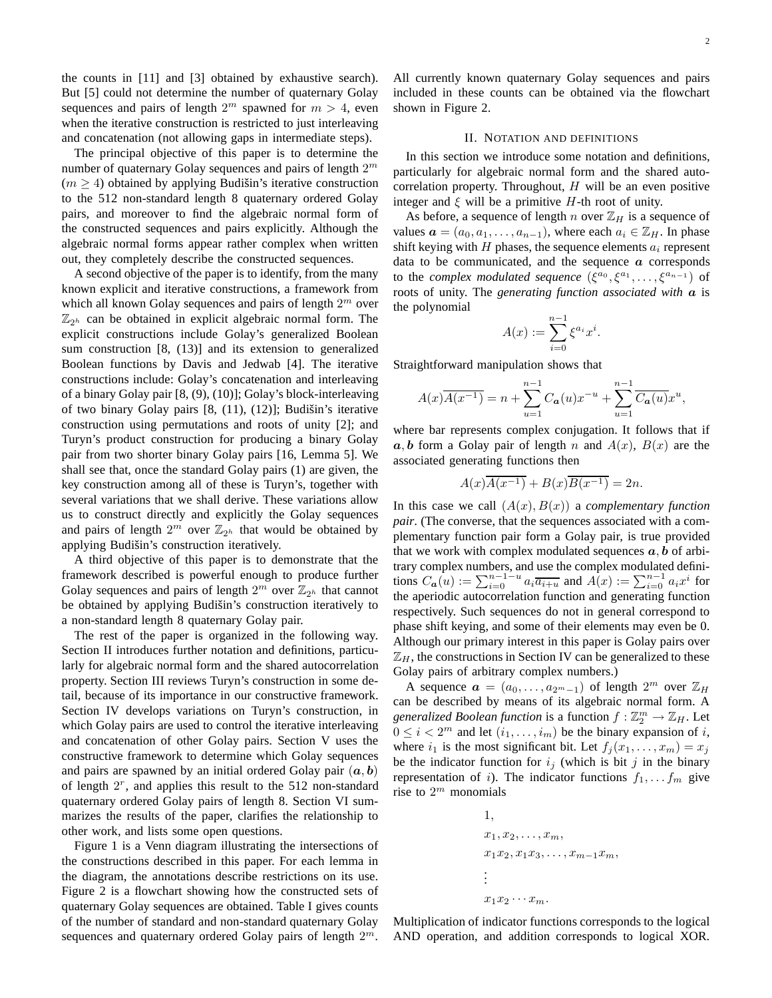the counts in [11] and [3] obtained by exhaustive search). But [5] could not determine the number of quaternary Golay sequences and pairs of length  $2^m$  spawned for  $m > 4$ , even when the iterative construction is restricted to just interleaving and concatenation (not allowing gaps in intermediate steps).

The principal objective of this paper is to determine the number of quaternary Golay sequences and pairs of length  $2^m$  $(m \geq 4)$  obtained by applying Budišin's iterative construction to the 512 non-standard length 8 quaternary ordered Golay pairs, and moreover to find the algebraic normal form of the constructed sequences and pairs explicitly. Although the algebraic normal forms appear rather complex when written out, they completely describe the constructed sequences.

A second objective of the paper is to identify, from the many known explicit and iterative constructions, a framework from which all known Golay sequences and pairs of length  $2^m$  over  $\mathbb{Z}_{2^h}$  can be obtained in explicit algebraic normal form. The explicit constructions include Golay's generalized Boolean sum construction [8, (13)] and its extension to generalized Boolean functions by Davis and Jedwab [4]. The iterative constructions include: Golay's concatenation and interleaving of a binary Golay pair [8, (9), (10)]; Golay's block-interleaving of two binary Golay pairs  $[8, (11), (12)]$ ; Budišin's iterative construction using permutations and roots of unity [2]; and Turyn's product construction for producing a binary Golay pair from two shorter binary Golay pairs [16, Lemma 5]. We shall see that, once the standard Golay pairs (1) are given, the key construction among all of these is Turyn's, together with several variations that we shall derive. These variations allow us to construct directly and explicitly the Golay sequences and pairs of length  $2^m$  over  $\mathbb{Z}_{2^h}$  that would be obtained by applying Budišin's construction iteratively.

A third objective of this paper is to demonstrate that the framework described is powerful enough to produce further Golay sequences and pairs of length  $2^m$  over  $\mathbb{Z}_{2^h}$  that cannot be obtained by applying Budišin's construction iteratively to a non-standard length 8 quaternary Golay pair.

The rest of the paper is organized in the following way. Section II introduces further notation and definitions, particularly for algebraic normal form and the shared autocorrelation property. Section III reviews Turyn's construction in some detail, because of its importance in our constructive framework. Section IV develops variations on Turyn's construction, in which Golay pairs are used to control the iterative interleaving and concatenation of other Golay pairs. Section V uses the constructive framework to determine which Golay sequences and pairs are spawned by an initial ordered Golay pair  $(a, b)$ of length  $2^r$ , and applies this result to the 512 non-standard quaternary ordered Golay pairs of length 8. Section VI summarizes the results of the paper, clarifies the relationship to other work, and lists some open questions.

Figure 1 is a Venn diagram illustrating the intersections of the constructions described in this paper. For each lemma in the diagram, the annotations describe restrictions on its use. Figure 2 is a flowchart showing how the constructed sets of quaternary Golay sequences are obtained. Table I gives counts of the number of standard and non-standard quaternary Golay sequences and quaternary ordered Golay pairs of length  $2^m$ .

All currently known quaternary Golay sequences and pairs included in these counts can be obtained via the flowchart shown in Figure 2.

### II. NOTATION AND DEFINITIONS

In this section we introduce some notation and definitions, particularly for algebraic normal form and the shared autocorrelation property. Throughout,  $H$  will be an even positive integer and  $\xi$  will be a primitive H-th root of unity.

As before, a sequence of length n over  $\mathbb{Z}_H$  is a sequence of values  $\mathbf{a} = (a_0, a_1, \dots, a_{n-1})$ , where each  $a_i \in \mathbb{Z}_H$ . In phase shift keying with  $H$  phases, the sequence elements  $a_i$  represent data to be communicated, and the sequence  $\alpha$  corresponds to the *complex modulated sequence*  $(\xi^{a_0}, \xi^{a_1}, \ldots, \xi^{a_{n-1}})$  of roots of unity. The *generating function associated with* a is the polynomial

$$
A(x) := \sum_{i=0}^{n-1} \xi^{a_i} x^i.
$$

Straightforward manipulation shows that

$$
A(x)\overline{A(x^{-1})} = n + \sum_{u=1}^{n-1} C_{\mathbf{a}}(u)x^{-u} + \sum_{u=1}^{n-1} \overline{C_{\mathbf{a}}(u)}x^{u},
$$

where bar represents complex conjugation. It follows that if  $a, b$  form a Golay pair of length n and  $A(x)$ ,  $B(x)$  are the associated generating functions then

$$
A(x)\overline{A(x^{-1})} + B(x)\overline{B(x^{-1})} = 2n.
$$

In this case we call  $(A(x), B(x))$  a *complementary function pair*. (The converse, that the sequences associated with a complementary function pair form a Golay pair, is true provided that we work with complex modulated sequences  $a, b$  of arbitrary complex numbers, and use the complex modulated definitions  $C_{\boldsymbol{a}}(u) := \sum_{i=0}^{n-1-u} a_i \overline{a_{i+u}}$  and  $\widehat{A}(x) := \sum_{i=0}^{n-1} a_i x^i$  for the aperiodic autocorrelation function and generating function respectively. Such sequences do not in general correspond to phase shift keying, and some of their elements may even be 0. Although our primary interest in this paper is Golay pairs over  $\mathbb{Z}_H$ , the constructions in Section IV can be generalized to these Golay pairs of arbitrary complex numbers.)

A sequence  $\boldsymbol{a} = (a_0, \dots, a_{2^m-1})$  of length  $2^m$  over  $\mathbb{Z}_H$ can be described by means of its algebraic normal form. A *generalized Boolean function* is a function  $f : \mathbb{Z}_2^m \to \mathbb{Z}_H$ . Let  $0 \leq i < 2^m$  and let  $(i_1, \ldots, i_m)$  be the binary expansion of i, where  $i_1$  is the most significant bit. Let  $f_j(x_1, \ldots, x_m) = x_j$ be the indicator function for  $i_j$  (which is bit j in the binary representation of i). The indicator functions  $f_1, \ldots, f_m$  give rise to  $2^m$  monomials

1,  
\n
$$
x_1, x_2, \ldots, x_m,
$$
  
\n $x_1x_2, x_1x_3, \ldots, x_{m-1}x_m,$   
\n $\vdots$   
\n $x_1x_2 \cdots x_m.$ 

Multiplication of indicator functions corresponds to the logical AND operation, and addition corresponds to logical XOR.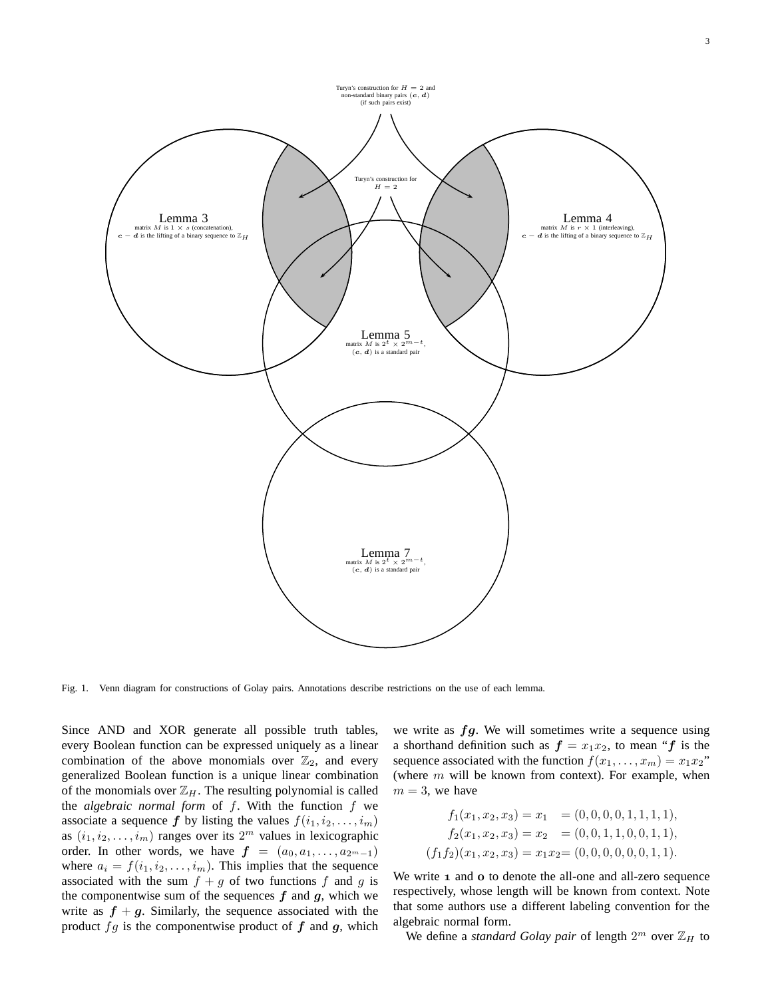

Fig. 1. Venn diagram for constructions of Golay pairs. Annotations describe restrictions on the use of each lemma.

Since AND and XOR generate all possible truth tables, every Boolean function can be expressed uniquely as a linear combination of the above monomials over  $\mathbb{Z}_2$ , and every generalized Boolean function is a unique linear combination of the monomials over  $\mathbb{Z}_H$ . The resulting polynomial is called the *algebraic normal form* of f. With the function f we associate a sequence f by listing the values  $f(i_1, i_2, \ldots, i_m)$ as  $(i_1, i_2, \ldots, i_m)$  ranges over its  $2^m$  values in lexicographic order. In other words, we have  $f = (a_0, a_1, \ldots, a_{2^m-1})$ where  $a_i = f(i_1, i_2, \ldots, i_m)$ . This implies that the sequence associated with the sum  $f + g$  of two functions f and g is the componentwise sum of the sequences  $f$  and  $g$ , which we write as  $f + g$ . Similarly, the sequence associated with the product  $fg$  is the componentwise product of  $f$  and  $g$ , which

we write as  $fg$ . We will sometimes write a sequence using a shorthand definition such as  $f = x_1x_2$ , to mean "f is the sequence associated with the function  $f(x_1, \ldots, x_m) = x_1 x_2$ " (where  $m$  will be known from context). For example, when  $m = 3$ , we have

$$
f_1(x_1, x_2, x_3) = x_1 = (0, 0, 0, 0, 1, 1, 1, 1),
$$
  
\n
$$
f_2(x_1, x_2, x_3) = x_2 = (0, 0, 1, 1, 0, 0, 1, 1),
$$
  
\n
$$
(f_1 f_2)(x_1, x_2, x_3) = x_1 x_2 = (0, 0, 0, 0, 0, 0, 1, 1).
$$

We write  $\bf{1}$  and  $\bf{o}$  to denote the all-one and all-zero sequence respectively, whose length will be known from context. Note that some authors use a different labeling convention for the algebraic normal form.

We define a *standard Golay pair* of length  $2^m$  over  $\mathbb{Z}_H$  to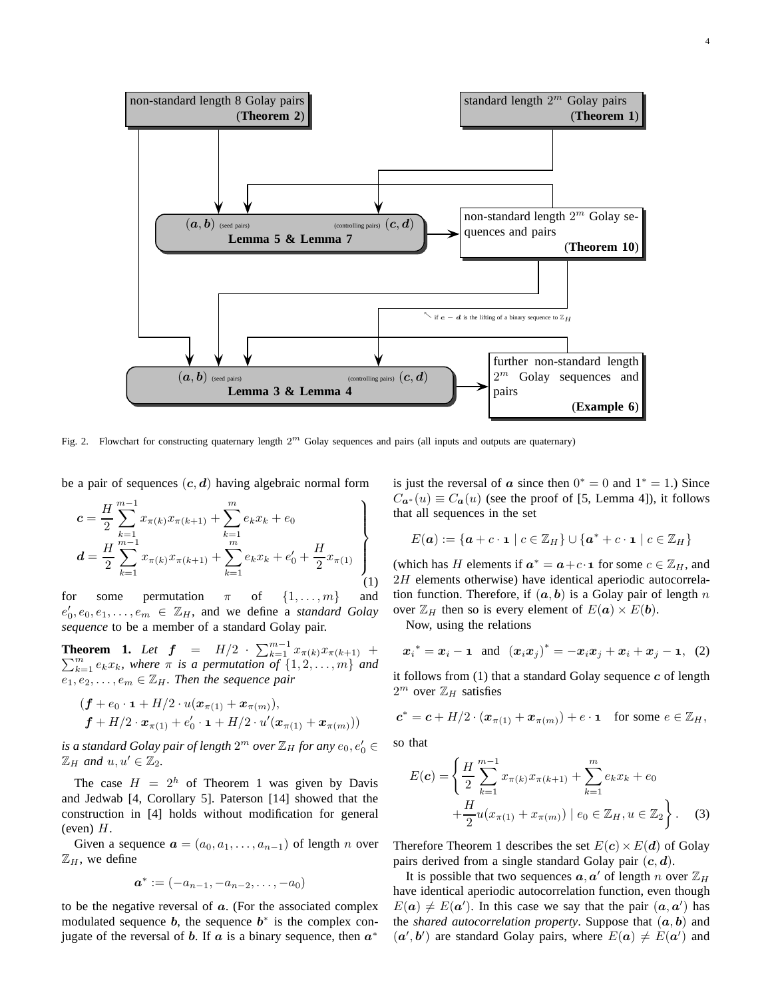

Fig. 2. Flowchart for constructing quaternary length  $2^m$  Golay sequences and pairs (all inputs and outputs are quaternary)

be a pair of sequences  $(c, d)$  having algebraic normal form

$$
c = \frac{H}{2} \sum_{k=1}^{m-1} x_{\pi(k)} x_{\pi(k+1)} + \sum_{k=1}^{m} e_k x_k + e_0
$$
  

$$
d = \frac{H}{2} \sum_{k=1}^{m-1} x_{\pi(k)} x_{\pi(k+1)} + \sum_{k=1}^{m} e_k x_k + e'_0 + \frac{H}{2} x_{\pi(1)}
$$
  
(1)

for some permutation  $\pi$  of  $\{1, \ldots, m\}$  and  $e'_0, e_0, e_1, \ldots, e_m \in \mathbb{Z}_H$ , and we define a *standard Golay sequence* to be a member of a standard Golay pair.

**Theorem 1.** Let  $f = H/2 \cdot \sum_{k=1}^{m-1} x_{\pi(k)} x_{\pi(k+1)} +$  $\sum_{k=1}^{m} e_k x_k$ , where  $\pi$  is a permutation of  $\{1, 2, ..., m\}$  and  $e_1, e_2, \ldots, e_m \in \mathbb{Z}_H$ *. Then the sequence pair* 

$$
(\boldsymbol{f} + e_0 \cdot \mathbf{1} + H/2 \cdot u(\boldsymbol{x}_{\pi(1)} + \boldsymbol{x}_{\pi(m)}),
$$
  

$$
\boldsymbol{f} + H/2 \cdot \boldsymbol{x}_{\pi(1)} + e'_0 \cdot \mathbf{1} + H/2 \cdot u'(\boldsymbol{x}_{\pi(1)} + \boldsymbol{x}_{\pi(m)}))
$$

is a standard Golay pair of length  $2^m$  over  $\mathbb{Z}_H$  for any  $e_0, e'_0 \in$  $\mathbb{Z}_H$  and  $u, u' \in \mathbb{Z}_2$ .

The case  $H = 2<sup>h</sup>$  of Theorem 1 was given by Davis and Jedwab [4, Corollary 5]. Paterson [14] showed that the construction in [4] holds without modification for general  $(even)$   $H$ .

Given a sequence  $\mathbf{a} = (a_0, a_1, \dots, a_{n-1})$  of length n over  $\mathbb{Z}_H$ , we define

$$
\bm{a}^* := (-a_{n-1}, -a_{n-2}, \ldots, -a_0)
$$

to be the negative reversal of  $a$ . (For the associated complex modulated sequence  $b$ , the sequence  $b^*$  is the complex conjugate of the reversal of b. If  $\alpha$  is a binary sequence, then  $\alpha^*$ 

is just the reversal of  $\boldsymbol{a}$  since then  $0^* = 0$  and  $1^* = 1$ .) Since  $C_{a^*}(u) \equiv C_a(u)$  (see the proof of [5, Lemma 4]), it follows that all sequences in the set

$$
E(\boldsymbol{a}) := \{ \boldsymbol{a} + c \cdot \mathbf{1} \mid c \in \mathbb{Z}_H \} \cup \{ \boldsymbol{a}^* + c \cdot \mathbf{1} \mid c \in \mathbb{Z}_H \}
$$

(which has H elements if  $a^* = a + c \cdot \mathbf{1}$  for some  $c \in \mathbb{Z}_H$ , and 2H elements otherwise) have identical aperiodic autocorrelation function. Therefore, if  $(a, b)$  is a Golay pair of length n over  $\mathbb{Z}_H$  then so is every element of  $E(\mathbf{a}) \times E(\mathbf{b})$ .

Now, using the relations

$$
x_i^* = x_i - \mathbf{1}
$$
 and  $(x_i x_j)^* = -x_i x_j + x_i + x_j - \mathbf{1}$ , (2)

it follows from  $(1)$  that a standard Golay sequence  $c$  of length  $2^m$  over  $\mathbb{Z}_H$  satisfies

$$
\mathbf{c}^* = \mathbf{c} + H/2 \cdot (\boldsymbol{x}_{\pi(1)} + \boldsymbol{x}_{\pi(m)}) + e \cdot \mathbf{1} \quad \text{for some } e \in \mathbb{Z}_H,
$$

so that

$$
E(c) = \left\{ \frac{H}{2} \sum_{k=1}^{m-1} x_{\pi(k)} x_{\pi(k+1)} + \sum_{k=1}^{m} e_k x_k + e_0 + \frac{H}{2} u(x_{\pi(1)} + x_{\pi(m)}) \mid e_0 \in \mathbb{Z}_H, u \in \mathbb{Z}_2 \right\}.
$$
 (3)

Therefore Theorem 1 describes the set  $E(c) \times E(d)$  of Golay pairs derived from a single standard Golay pair  $(c, d)$ .

It is possible that two sequences  $a, a'$  of length n over  $\mathbb{Z}_H$ have identical aperiodic autocorrelation function, even though  $E(a) \neq E(a')$ . In this case we say that the pair  $(a, a')$  has the *shared autocorrelation property*. Suppose that  $(a, b)$  and  $(a', b')$  are standard Golay pairs, where  $E(a) \neq E(a')$  and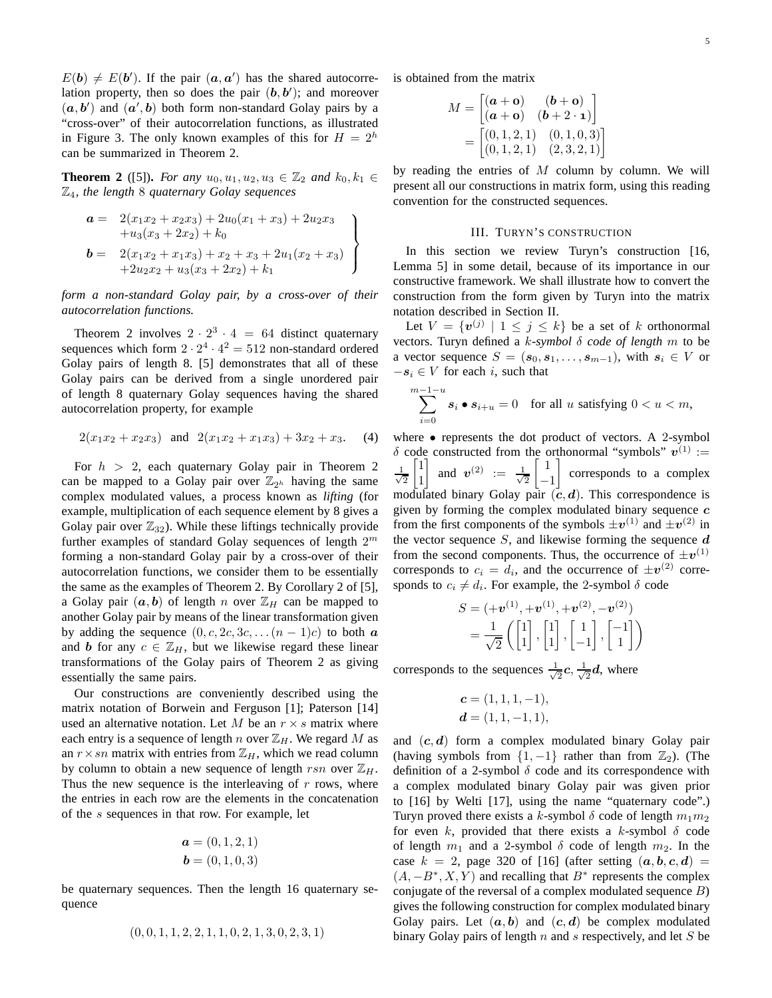$E(\boldsymbol{b}) \neq E(\boldsymbol{b}')$ . If the pair  $(a, a')$  has the shared autocorrelation property, then so does the pair  $(b, b')$ ; and moreover  $(a, b')$  and  $(a', b)$  both form non-standard Golay pairs by a "cross-over" of their autocorrelation functions, as illustrated in Figure 3. The only known examples of this for  $H = 2<sup>h</sup>$ can be summarized in Theorem 2.

**Theorem 2** ([5]). *For any*  $u_0, u_1, u_2, u_3 \in \mathbb{Z}_2$  *and*  $k_0, k_1 \in \mathbb{Z}_2$ Z4*, the length* 8 *quaternary Golay sequences*

$$
\mathbf{a} = 2(x_1x_2 + x_2x_3) + 2u_0(x_1 + x_3) + 2u_2x_3
$$
  
+ $u_3(x_3 + 2x_2) + k_0$   

$$
\mathbf{b} = 2(x_1x_2 + x_1x_3) + x_2 + x_3 + 2u_1(x_2 + x_3)
$$
  
+ $2u_2x_2 + u_3(x_3 + 2x_2) + k_1$ 

*form a non-standard Golay pair, by a cross-over of their autocorrelation functions.*

Theorem 2 involves  $2 \cdot 2^3 \cdot 4 = 64$  distinct quaternary sequences which form  $2 \cdot 2^4 \cdot 4^2 = 512$  non-standard ordered Golay pairs of length 8. [5] demonstrates that all of these Golay pairs can be derived from a single unordered pair of length 8 quaternary Golay sequences having the shared autocorrelation property, for example

$$
2(x_1x_2 + x_2x_3)
$$
 and  $2(x_1x_2 + x_1x_3) + 3x_2 + x_3$ . (4)

For  $h > 2$ , each quaternary Golay pair in Theorem 2 can be mapped to a Golay pair over  $\mathbb{Z}_{2^h}$  having the same complex modulated values, a process known as *lifting* (for example, multiplication of each sequence element by 8 gives a Golay pair over  $\mathbb{Z}_{32}$ ). While these liftings technically provide further examples of standard Golay sequences of length  $2^m$ forming a non-standard Golay pair by a cross-over of their autocorrelation functions, we consider them to be essentially the same as the examples of Theorem 2. By Corollary 2 of [5], a Golay pair  $(a, b)$  of length n over  $\mathbb{Z}_H$  can be mapped to another Golay pair by means of the linear transformation given by adding the sequence  $(0, c, 2c, 3c, \ldots (n-1)c)$  to both a and b for any  $c \in \mathbb{Z}_H$ , but we likewise regard these linear transformations of the Golay pairs of Theorem 2 as giving essentially the same pairs.

Our constructions are conveniently described using the matrix notation of Borwein and Ferguson [1]; Paterson [14] used an alternative notation. Let M be an  $r \times s$  matrix where each entry is a sequence of length n over  $\mathbb{Z}_H$ . We regard M as an  $r \times sn$  matrix with entries from  $\mathbb{Z}_H$ , which we read column by column to obtain a new sequence of length rsn over  $\mathbb{Z}_H$ . Thus the new sequence is the interleaving of  $r$  rows, where the entries in each row are the elements in the concatenation of the s sequences in that row. For example, let

$$
a = (0, 1, 2, 1)
$$
  

$$
b = (0, 1, 0, 3)
$$

be quaternary sequences. Then the length 16 quaternary sequence

$$
(0,0,1,1,2,2,1,1,0,2,1,3,0,2,3,1)
$$

is obtained from the matrix

$$
M = \begin{bmatrix} (a + \mathbf{o}) & (b + \mathbf{o}) \\ (a + \mathbf{o}) & (b + 2 \cdot \mathbf{1}) \end{bmatrix}
$$
  
= 
$$
\begin{bmatrix} (0, 1, 2, 1) & (0, 1, 0, 3) \\ (0, 1, 2, 1) & (2, 3, 2, 1) \end{bmatrix}
$$

by reading the entries of  $M$  column by column. We will present all our constructions in matrix form, using this reading convention for the constructed sequences.

#### III. TURYN'S CONSTRUCTION

In this section we review Turyn's construction [16, Lemma 5] in some detail, because of its importance in our constructive framework. We shall illustrate how to convert the construction from the form given by Turyn into the matrix notation described in Section II.

Let  $V = \{v^{(j)} \mid 1 \leq j \leq k\}$  be a set of k orthonormal vectors. Turyn defined a k*-symbol* δ *code of length* m to be a vector sequence  $S = (\mathbf{s}_0, \mathbf{s}_1, \dots, \mathbf{s}_{m-1})$ , with  $\mathbf{s}_i \in V$  or  $-s_i \in V$  for each i, such that

$$
\sum_{i=0}^{m-1-u} s_i \bullet s_{i+u} = 0 \quad \text{for all } u \text{ satisfying } 0 < u < m,
$$

where  $\bullet$  represents the dot product of vectors. A 2-symbol δ code constructed from the orthonormal "symbols"  $v^{(1)}$  := √ 1 2  $\sqrt{ }$ 1 1 1 and  $\mathbf{v}^{(2)} := \frac{1}{\sqrt{2}}$ 2  $\lceil 1 \rceil$  $\frac{-1}{\cdot}$ corresponds to a complex modulated binary Golay pair  $(c, d)$ . This correspondence is given by forming the complex modulated binary sequence  $c$ from the first components of the symbols  $\pm v^{(1)}$  and  $\pm v^{(2)}$  in the vector sequence  $S$ , and likewise forming the sequence  $d$ from the second components. Thus, the occurrence of  $\pm v^{(1)}$ corresponds to  $c_i = d_i$ , and the occurrence of  $\pm v^{(2)}$  corresponds to  $c_i \neq d_i$ . For example, the 2-symbol  $\delta$  code

$$
S = (+\mathbf{v}^{(1)}, +\mathbf{v}^{(1)}, +\mathbf{v}^{(2)}, -\mathbf{v}^{(2)})
$$
  
=  $\frac{1}{\sqrt{2}} \left( \begin{bmatrix} 1 \\ 1 \end{bmatrix}, \begin{bmatrix} 1 \\ 1 \end{bmatrix}, \begin{bmatrix} 1 \\ -1 \end{bmatrix}, \begin{bmatrix} -1 \\ 1 \end{bmatrix} \right)$ 

corresponds to the sequences  $\frac{1}{\sqrt{2}}$  $\frac{1}{2}c,\frac{1}{\sqrt{2}}$  $\frac{1}{2}d$ , where

$$
c = (1, 1, 1, -1),
$$
  

$$
d = (1, 1, -1, 1),
$$

and  $(c, d)$  form a complex modulated binary Golay pair (having symbols from  $\{1, -1\}$  rather than from  $\mathbb{Z}_2$ ). (The definition of a 2-symbol  $\delta$  code and its correspondence with a complex modulated binary Golay pair was given prior to [16] by Welti [17], using the name "quaternary code".) Turyn proved there exists a k-symbol  $\delta$  code of length  $m_1m_2$ for even k, provided that there exists a k-symbol  $\delta$  code of length  $m_1$  and a 2-symbol  $\delta$  code of length  $m_2$ . In the case  $k = 2$ , page 320 of [16] (after setting  $(a, b, c, d)$  =  $(A, -B^*, X, Y)$  and recalling that  $B^*$  represents the complex conjugate of the reversal of a complex modulated sequence  $B$ ) gives the following construction for complex modulated binary Golay pairs. Let  $(a, b)$  and  $(c, d)$  be complex modulated binary Golay pairs of length  $n$  and  $s$  respectively, and let  $S$  be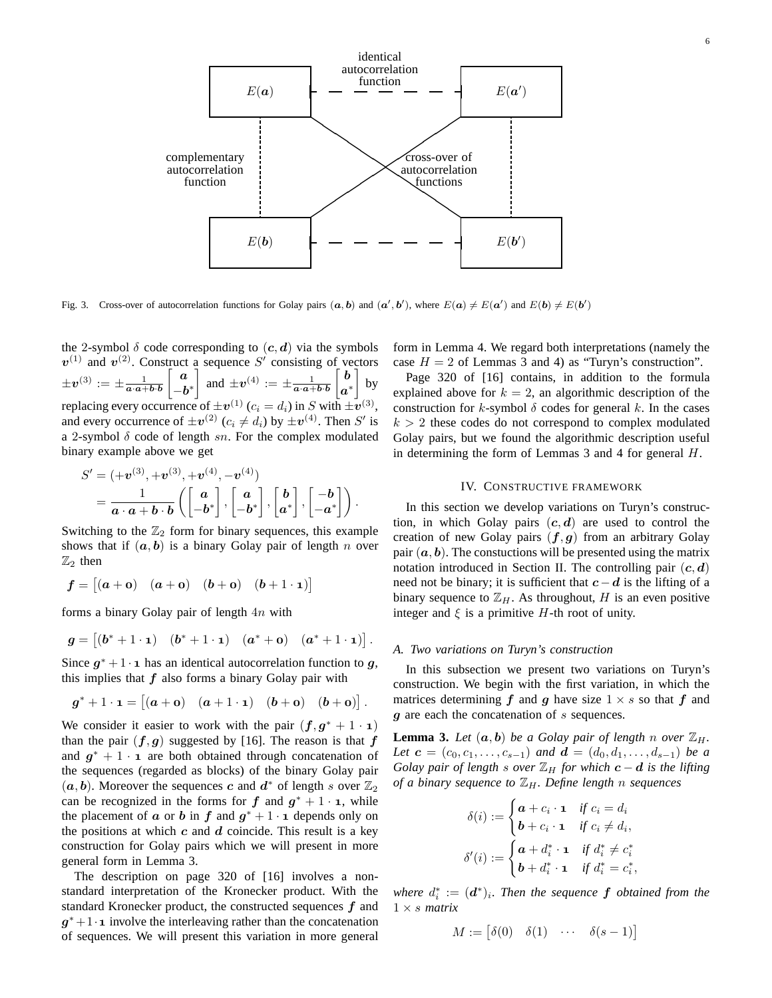

Fig. 3. Cross-over of autocorrelation functions for Golay pairs  $(a, b)$  and  $(a', b')$ , where  $E(a) \neq E(a')$  and  $E(b) \neq E(b')$ 

the 2-symbol  $\delta$  code corresponding to  $(c, d)$  via the symbols  $v^{(1)}$  and  $v^{(2)}$ . Construct a sequence S' consisting of vectors  $\pm \boldsymbol{v}^{(3)} := \pm \frac{1}{\boldsymbol{a}\cdot\boldsymbol{a} + \boldsymbol{b}\cdot\boldsymbol{b}}$  $\begin{bmatrix} a \end{bmatrix}$  $-\boldsymbol{b}^*$ and  $\pm v^{(4)} := \pm \frac{1}{a \cdot a + b \cdot b}$  $\lceil b \rceil$  $\bm{a}^*$  $\vert$  by replacing every occurrence of  $\pm \mathbf{v}^{(1)}$   $(c_i = d_i)$  in S with  $\pm \mathbf{v}^{(3)}$ , and every occurrence of  $\pm v^{(2)}$  ( $c_i \neq d_i$ ) by  $\pm v^{(4)}$ . Then S' is a 2-symbol  $\delta$  code of length sn. For the complex modulated binary example above we get

$$
S' = (+\boldsymbol{v}^{(3)}, +\boldsymbol{v}^{(3)}, +\boldsymbol{v}^{(4)}, -\boldsymbol{v}^{(4)})
$$
  
= 
$$
\frac{1}{\boldsymbol{a}\cdot\boldsymbol{a}+\boldsymbol{b}\cdot\boldsymbol{b}}\left(\begin{bmatrix}\boldsymbol{a}\\ -\boldsymbol{b}^*\end{bmatrix},\begin{bmatrix}\boldsymbol{a}\\ -\boldsymbol{b}^*\end{bmatrix},\begin{bmatrix}\boldsymbol{b}\\ \boldsymbol{a}^*\end{bmatrix},\begin{bmatrix}-\boldsymbol{b}\\ -\boldsymbol{a}^*\end{bmatrix}\right).
$$

Switching to the  $\mathbb{Z}_2$  form for binary sequences, this example shows that if  $(a, b)$  is a binary Golay pair of length n over  $\mathbb{Z}_2$  then

$$
\boldsymbol{f} = \begin{bmatrix} (a + \mathbf{o}) & (a + \mathbf{o}) & (b + \mathbf{o}) & (b + 1 \cdot \mathbf{1}) \end{bmatrix}
$$

forms a binary Golay pair of length  $4n$  with

$$
\boldsymbol{g} = \begin{bmatrix} (\boldsymbol{b}^* + 1 \cdot \mathbf{1}) & (\boldsymbol{b}^* + 1 \cdot \mathbf{1}) & (\boldsymbol{a}^* + \mathbf{0}) & (\boldsymbol{a}^* + 1 \cdot \mathbf{1}) \end{bmatrix}.
$$

Since  $g^* + 1 \cdot \mathbf{1}$  has an identical autocorrelation function to g, this implies that  $f$  also forms a binary Golay pair with

$$
g^* + 1 \cdot \mathbf{1} = \begin{bmatrix} (a + \mathbf{o}) & (a + 1 \cdot \mathbf{1}) & (b + \mathbf{o}) & (b + \mathbf{o}) \end{bmatrix}.
$$

We consider it easier to work with the pair  $(f, g^* + 1 \cdot \mathbf{1})$ than the pair  $(f, g)$  suggested by [16]. The reason is that f and  $g^* + 1 \cdot \mathbf{i}$  are both obtained through concatenation of the sequences (regarded as blocks) of the binary Golay pair  $(a, b)$ . Moreover the sequences c and  $d^*$  of length s over  $\mathbb{Z}_2$ can be recognized in the forms for  $f$  and  $g^* + 1 \cdot \mathbf{1}$ , while the placement of  $\boldsymbol{a}$  or  $\boldsymbol{b}$  in  $\boldsymbol{f}$  and  $\boldsymbol{g}^* + 1 \cdot \boldsymbol{\mathsf{1}}$  depends only on the positions at which  $c$  and  $d$  coincide. This result is a key construction for Golay pairs which we will present in more general form in Lemma 3.

The description on page 320 of [16] involves a nonstandard interpretation of the Kronecker product. With the standard Kronecker product, the constructed sequences  $f$  and  $g^*$  + 1 · **1** involve the interleaving rather than the concatenation of sequences. We will present this variation in more general form in Lemma 4. We regard both interpretations (namely the case  $H = 2$  of Lemmas 3 and 4) as "Turyn's construction".

Page 320 of [16] contains, in addition to the formula explained above for  $k = 2$ , an algorithmic description of the construction for k-symbol  $\delta$  codes for general k. In the cases  $k > 2$  these codes do not correspond to complex modulated Golay pairs, but we found the algorithmic description useful in determining the form of Lemmas 3 and 4 for general H.

#### IV. CONSTRUCTIVE FRAMEWORK

In this section we develop variations on Turyn's construction, in which Golay pairs  $(c, d)$  are used to control the creation of new Golay pairs  $(f, g)$  from an arbitrary Golay pair  $(a, b)$ . The constuctions will be presented using the matrix notation introduced in Section II. The controlling pair  $(c, d)$ need not be binary; it is sufficient that  $c-d$  is the lifting of a binary sequence to  $\mathbb{Z}_H$ . As throughout, H is an even positive integer and  $\xi$  is a primitive H-th root of unity.

## *A. Two variations on Turyn's construction*

In this subsection we present two variations on Turyn's construction. We begin with the first variation, in which the matrices determining f and g have size  $1 \times s$  so that f and g are each the concatenation of s sequences.

**Lemma 3.** Let  $(a, b)$  be a Golay pair of length n over  $\mathbb{Z}_H$ . *Let*  $c = (c_0, c_1, \ldots, c_{s-1})$  *and*  $d = (d_0, d_1, \ldots, d_{s-1})$  *be a Golay pair of length s over*  $\mathbb{Z}_H$  *for which*  $c - d$  *is the lifting of a binary sequence to* ZH*. Define length* n *sequences*

$$
\delta(i) := \begin{cases}\n\mathbf{a} + c_i \cdot \mathbf{1} & \text{if } c_i = d_i \\
\mathbf{b} + c_i \cdot \mathbf{1} & \text{if } c_i \neq d_i, \n\end{cases}
$$
\n
$$
\delta'(i) := \begin{cases}\n\mathbf{a} + d_i^* \cdot \mathbf{1} & \text{if } d_i^* \neq c_i^* \\
\mathbf{b} + d_i^* \cdot \mathbf{1} & \text{if } d_i^* = c_i^*\n\end{cases}
$$

where  $d_i^* := (\boldsymbol{d}^*)_i$ . Then the sequence  $\boldsymbol{f}$  *obtained from the* 1 × s *matrix*

,

$$
M := \begin{bmatrix} \delta(0) & \delta(1) & \cdots & \delta(s-1) \end{bmatrix}
$$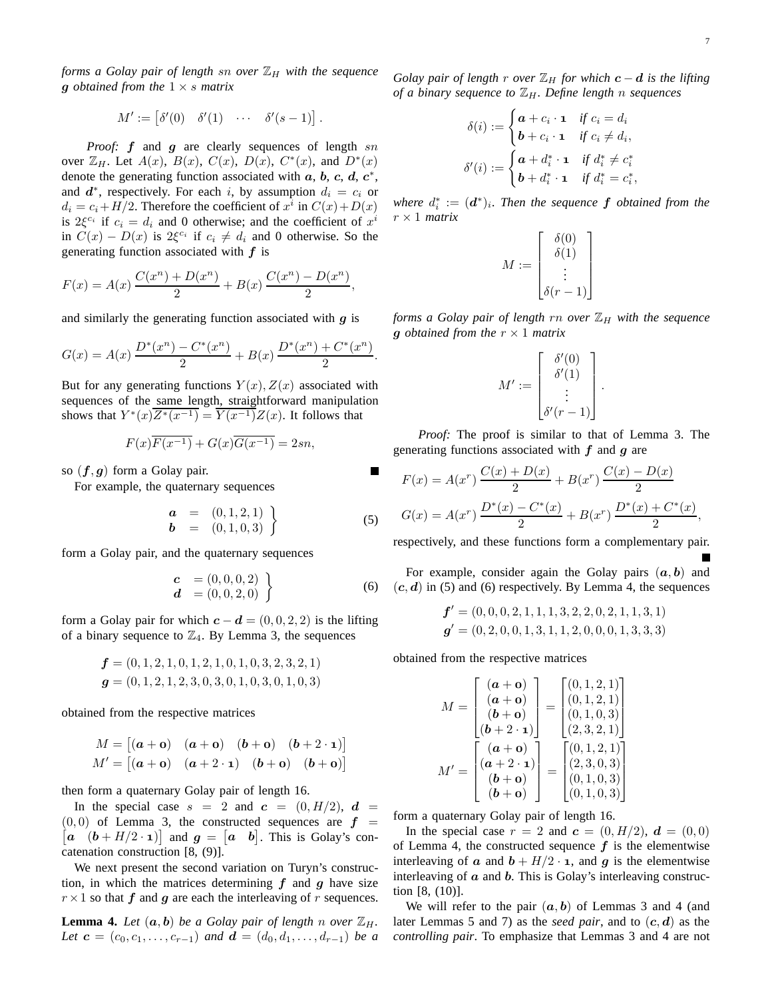*forms a Golay pair of length sn over*  $\mathbb{Z}_H$  *with the sequence* g *obtained from the* 1 × s *matrix*

$$
M' := \begin{bmatrix} \delta'(0) & \delta'(1) & \cdots & \delta'(s-1) \end{bmatrix}.
$$

*Proof:* f and g are clearly sequences of length sn over  $\mathbb{Z}_H$ . Let  $A(x)$ ,  $B(x)$ ,  $C(x)$ ,  $D(x)$ ,  $C^*(x)$ , and  $D^*(x)$ denote the generating function associated with  $a, b, c, d, c^*$ , and  $d^*$ , respectively. For each i, by assumption  $d_i = c_i$  or  $d_i = c_i + H/2$ . Therefore the coefficient of  $x^i$  in  $C(x) + D(x)$ is  $2\xi^{c_i}$  if  $c_i = d_i$  and 0 otherwise; and the coefficient of  $x^i$ in  $C(x) - D(x)$  is  $2\xi^{c_i}$  if  $c_i \neq d_i$  and 0 otherwise. So the generating function associated with  $f$  is

$$
F(x) = A(x)\frac{C(x^n) + D(x^n)}{2} + B(x)\frac{C(x^n) - D(x^n)}{2},
$$

and similarly the generating function associated with  $g$  is

$$
G(x) = A(x) \frac{D^*(x^n) - C^*(x^n)}{2} + B(x) \frac{D^*(x^n) + C^*(x^n)}{2}.
$$

But for any generating functions  $Y(x)$ ,  $Z(x)$  associated with sequences of the same length, straightforward manipulation shows that  $Y^*(x)Z^*(x^{-1}) = Y(x^{-1})Z(x)$ . It follows that

$$
F(x)\overline{F(x^{-1})} + G(x)\overline{G(x^{-1})} = 2sn,
$$

so  $(f, g)$  form a Golay pair.

For example, the quaternary sequences

$$
\begin{array}{rcl}\n\mathbf{a} & = & (0,1,2,1) \\
\mathbf{b} & = & (0,1,0,3)\n\end{array}
$$
\n(5)

form a Golay pair, and the quaternary sequences

$$
\begin{array}{ll} \mathbf{c} & = (0,0,0,2) \\ \mathbf{d} & = (0,0,2,0) \end{array} \tag{6}
$$

form a Golay pair for which  $c - d = (0, 0, 2, 2)$  is the lifting of a binary sequence to  $\mathbb{Z}_4$ . By Lemma 3, the sequences

$$
f = (0, 1, 2, 1, 0, 1, 2, 1, 0, 1, 0, 3, 2, 3, 2, 1)
$$
  

$$
g = (0, 1, 2, 1, 2, 3, 0, 3, 0, 1, 0, 3, 0, 1, 0, 3)
$$

obtained from the respective matrices

$$
M = \begin{bmatrix} (a + \mathbf{o}) & (a + \mathbf{o}) & (b + \mathbf{o}) & (b + 2 \cdot \mathbf{1}) \end{bmatrix}
$$
  

$$
M' = \begin{bmatrix} (a + \mathbf{o}) & (a + 2 \cdot \mathbf{1}) & (b + \mathbf{o}) & (b + \mathbf{o}) \end{bmatrix}
$$

then form a quaternary Golay pair of length 16.

In the special case  $s = 2$  and  $c = (0, H/2), d =$  $[a \quad (b + H/2 \cdot \mathbf{1})]$  and  $g = [a \quad b]$ . This is Golay's con- $(0, 0)$  of Lemma 3, the constructed sequences are  $f =$ catenation construction [8, (9)].

We next present the second variation on Turyn's construction, in which the matrices determining  $f$  and  $g$  have size  $r \times 1$  so that f and g are each the interleaving of r sequences.

**Lemma 4.** Let  $(a, b)$  be a Golay pair of length n over  $\mathbb{Z}_H$ . *Let*  $c = (c_0, c_1, \ldots, c_{r-1})$  *and*  $d = (d_0, d_1, \ldots, d_{r-1})$  *be a* 

*Golay pair of length* r *over*  $\mathbb{Z}_H$  *for which*  $c - d$  *is the lifting of a binary sequence to*  $\mathbb{Z}_H$ *. Define length n sequences* 

$$
\delta(i) := \begin{cases}\n\mathbf{a} + c_i \cdot \mathbf{1} & \text{if } c_i = d_i \\
\mathbf{b} + c_i \cdot \mathbf{1} & \text{if } c_i \neq d_i, \n\end{cases}
$$
\n
$$
\delta'(i) := \begin{cases}\n\mathbf{a} + d_i^* \cdot \mathbf{1} & \text{if } d_i^* \neq c_i^* \\
\mathbf{b} + d_i^* \cdot \mathbf{1} & \text{if } d_i^* = c_i^*,\n\end{cases}
$$

where  $d_i^* := (\boldsymbol{d}^*)_i$ . Then the sequence  $\boldsymbol{f}$  *obtained from the* r × 1 *matrix*

$$
M := \begin{bmatrix} \delta(0) \\ \delta(1) \\ \vdots \\ \delta(r-1) \end{bmatrix}
$$

*forms a Golay pair of length rn over*  $\mathbb{Z}_H$  *with the sequence* g *obtained from the*  $r \times 1$  *matrix* 

$$
M' := \begin{bmatrix} \delta'(0) \\ \delta'(1) \\ \vdots \\ \delta'(r-1) \end{bmatrix}.
$$

*Proof:* The proof is similar to that of Lemma 3. The generating functions associated with  $f$  and  $g$  are

$$
F(x) = A(x^r) \frac{C(x) + D(x)}{2} + B(x^r) \frac{C(x) - D(x)}{2}
$$

$$
G(x) = A(x^r) \frac{D^*(x) - C^*(x)}{2} + B(x^r) \frac{D^*(x) + C^*(x)}{2},
$$

respectively, and these functions form a complementary pair.

For example, consider again the Golay pairs  $(a, b)$  and  $(c, d)$  in (5) and (6) respectively. By Lemma 4, the sequences

$$
f' = (0, 0, 0, 2, 1, 1, 1, 3, 2, 2, 0, 2, 1, 1, 3, 1)
$$
  

$$
g' = (0, 2, 0, 0, 1, 3, 1, 1, 2, 0, 0, 0, 1, 3, 3, 3)
$$

obtained from the respective matrices

$$
M = \begin{bmatrix} (a + \mathbf{o}) \\ (a + \mathbf{o}) \\ (b + \mathbf{o}) \\ (b + 2 \cdot \mathbf{1}) \end{bmatrix} = \begin{bmatrix} (0, 1, 2, 1) \\ (0, 1, 2, 1) \\ (0, 1, 0, 3) \\ (2, 3, 2, 1) \end{bmatrix}
$$

$$
M' = \begin{bmatrix} (a + \mathbf{o}) \\ (a + 2 \cdot \mathbf{1}) \\ (b + \mathbf{o}) \\ (b + \mathbf{o}) \end{bmatrix} = \begin{bmatrix} (0, 1, 2, 1) \\ (2, 3, 0, 3) \\ (0, 1, 0, 3) \\ (0, 1, 0, 3) \end{bmatrix}
$$

form a quaternary Golay pair of length 16.

In the special case  $r = 2$  and  $\mathbf{c} = (0, H/2), \mathbf{d} = (0, 0)$ of Lemma 4, the constructed sequence  $f$  is the elementwise interleaving of a and  $b + H/2 \cdot \mathbf{1}$ , and q is the elementwise interleaving of  $\alpha$  and  $\beta$ . This is Golay's interleaving construction [8, (10)].

We will refer to the pair  $(a, b)$  of Lemmas 3 and 4 (and later Lemmas 5 and 7) as the *seed pair*, and to  $(c, d)$  as the *controlling pair*. To emphasize that Lemmas 3 and 4 are not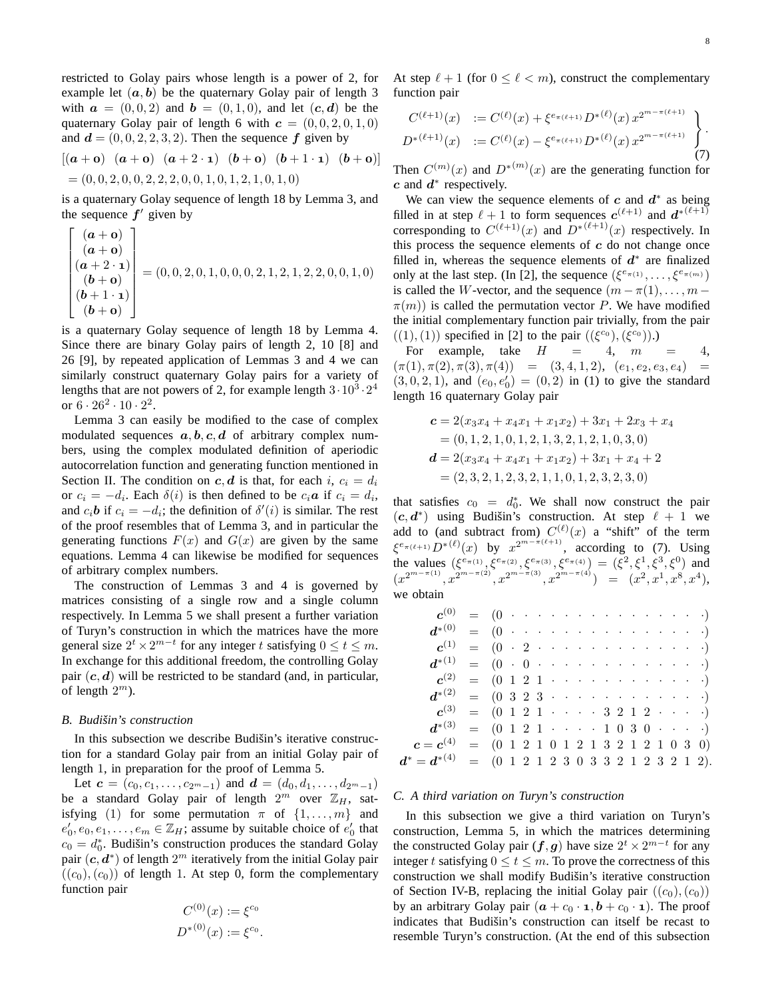restricted to Golay pairs whose length is a power of 2, for example let  $(a, b)$  be the quaternary Golay pair of length 3 with  $\mathbf{a} = (0, 0, 2)$  and  $\mathbf{b} = (0, 1, 0)$ , and let  $(\mathbf{c}, \mathbf{d})$  be the quaternary Golay pair of length 6 with  $c = (0, 0, 2, 0, 1, 0)$ and  $\mathbf{d} = (0, 0, 2, 2, 3, 2)$ . Then the sequence  $\mathbf{f}$  given by

$$
[(\mathbf{a} + \mathbf{o}) \ (\mathbf{a} + \mathbf{o}) \ (\mathbf{a} + 2 \cdot \mathbf{1}) \ (\mathbf{b} + \mathbf{o}) \ (\mathbf{b} + 1 \cdot \mathbf{1}) \ (\mathbf{b} + \mathbf{o})]
$$
  
= (0, 0, 2, 0, 0, 2, 2, 2, 0, 0, 1, 0, 1, 2, 1, 0, 1, 0)

is a quaternary Golay sequence of length 18 by Lemma 3, and the sequence  $f'$  given by

$$
\begin{bmatrix}\n(a+0) \\
(a+0) \\
(a+2 \cdot 1) \\
(b+0) \\
(b+0) \\
(b+0)\n\end{bmatrix} = (0, 0, 2, 0, 1, 0, 0, 0, 2, 1, 2, 1, 2, 2, 0, 0, 1, 0)
$$

is a quaternary Golay sequence of length 18 by Lemma 4. Since there are binary Golay pairs of length 2, 10 [8] and 26 [9], by repeated application of Lemmas 3 and 4 we can similarly construct quaternary Golay pairs for a variety of lengths that are not powers of 2, for example length  $3 \cdot 10^3 \cdot 2^4$ or  $6 \cdot 26^2 \cdot 10 \cdot 2^2$ .

Lemma 3 can easily be modified to the case of complex modulated sequences  $a, b, c, d$  of arbitrary complex numbers, using the complex modulated definition of aperiodic autocorrelation function and generating function mentioned in Section II. The condition on c, d is that, for each i,  $c_i = d_i$ or  $c_i = -d_i$ . Each  $\delta(i)$  is then defined to be  $c_i \mathbf{a}$  if  $c_i = d_i$ , and  $c_i$ **b** if  $c_i = -d_i$ ; the definition of  $\delta'(i)$  is similar. The rest of the proof resembles that of Lemma 3, and in particular the generating functions  $F(x)$  and  $G(x)$  are given by the same equations. Lemma 4 can likewise be modified for sequences of arbitrary complex numbers.

The construction of Lemmas 3 and 4 is governed by matrices consisting of a single row and a single column respectively. In Lemma 5 we shall present a further variation of Turyn's construction in which the matrices have the more general size  $2^t \times 2^{m-t}$  for any integer t satisfying  $0 \le t \le m$ . In exchange for this additional freedom, the controlling Golay pair  $(c, d)$  will be restricted to be standard (and, in particular, of length  $2^m$ ).

#### *B. Budiˇsin's construction*

In this subsection we describe Budišin's iterative construction for a standard Golay pair from an initial Golay pair of length 1, in preparation for the proof of Lemma 5.

Let  $c = (c_0, c_1, \ldots, c_{2^m-1})$  and  $d = (d_0, d_1, \ldots, d_{2^m-1})$ be a standard Golay pair of length  $2^m$  over  $\mathbb{Z}_H$ , satisfying (1) for some permutation  $\pi$  of  $\{1, \ldots, m\}$  and  $e'_0, e_0, e_1, \ldots, e_m \in \mathbb{Z}_H$ ; assume by suitable choice of  $e'_0$  that  $c_0 = d_0^*$ . Budišin's construction produces the standard Golay pair  $(c, d^*)$  of length  $2^m$  iteratively from the initial Golay pair  $((c_0), (c_0))$  of length 1. At step 0, form the complementary function pair

$$
C^{(0)}(x) := \xi^{c_0}
$$
  

$$
D^{*(0)}(x) := \xi^{c_0}.
$$

At step  $\ell + 1$  (for  $0 \leq \ell < m$ ), construct the complementary function pair

$$
C^{(\ell+1)}(x) := C^{(\ell)}(x) + \xi^{e_{\pi(\ell+1)}} D^{*(\ell)}(x) x^{2^{m-\pi(\ell+1)}} D^{*(\ell+1)}(x) := C^{(\ell)}(x) - \xi^{e_{\pi(\ell+1)}} D^{*(\ell)}(x) x^{2^{m-\pi(\ell+1)}} \begin{cases} . & (7) \end{cases}
$$

Then  $C^{(m)}(x)$  and  $D^{*(m)}(x)$  are the generating function for  $c$  and  $d^*$  respectively.

We can view the sequence elements of c and  $d^*$  as being filled in at step  $\ell + 1$  to form sequences  $c^{(\ell+1)}$  and  $d^{*(\ell+1)}$ corresponding to  $C^{(\ell+1)}(x)$  and  $D^{*(\ell+1)}(x)$  respectively. In this process the sequence elements of  $c$  do not change once filled in, whereas the sequence elements of  $d^*$  are finalized only at the last step. (In [2], the sequence  $(\xi^{e_{\pi(1)}}, \ldots, \xi^{e_{\pi(m)}})$ is called the W-vector, and the sequence  $(m - \pi(1), \ldots, m - \pi(n))$  $\pi(m)$ ) is called the permutation vector P. We have modified the initial complementary function pair trivially, from the pair  $((1), (1))$  specified in [2] to the pair  $((\xi^{c_0}), (\xi^{c_0}))$ .)

For example, take  $H = 4$ ,  $m = 4$ ,  $(\pi(1), \pi(2), \pi(3), \pi(4)) = (3, 4, 1, 2), (e_1, e_2, e_3, e_4) =$  $(3, 0, 2, 1)$ , and  $(e_0, e'_0) = (0, 2)$  in (1) to give the standard length 16 quaternary Golay pair

$$
c = 2(x_3x_4 + x_4x_1 + x_1x_2) + 3x_1 + 2x_3 + x_4
$$
  
= (0, 1, 2, 1, 0, 1, 2, 1, 3, 2, 1, 2, 1, 0, 3, 0)  

$$
d = 2(x_3x_4 + x_4x_1 + x_1x_2) + 3x_1 + x_4 + 2
$$
  
= (2, 3, 2, 1, 2, 3, 2, 1, 1, 0, 1, 2, 3, 2, 3, 0)

that satisfies  $c_0 = d_0^*$ . We shall now construct the pair  $(c, d^*)$  using Budišin's construction. At step  $\ell + 1$  we add to (and subtract from)  $C^{(\ell)}(x)$  a "shift" of the term  $\xi^{e_{\pi(\ell+1)}} D^{*(\ell)}(x)$  by  $x^{2^{m-\pi(\ell+1)}},$  according to (7). Using the values  $(\xi^{e_{\pi(1)}}, \xi^{e_{\pi(2)}}, \xi^{e_{\pi(3)}}, \xi^{e_{\pi(4)}}) = (\xi^2, \xi^1, \xi^3, \xi^0)$  and  $(x^{2^{m-\pi(1)}}, x^{2^{m-\pi(2)}}, x^{2^{m-\pi(3)}}, x^{2^{m-\pi(4)}}) = (x^2, x^1, x^8, x^4),$ we obtain

| $c^{(1)} = (0 \cdot 2 \cdot \cdot \cdot \cdot \cdot \cdot \cdot \cdot \cdot \cdot \cdot \cdot \cdot \cdot \cdot \cdot \cdot$ |  |  |  |  |  |  |  |  |  |
|------------------------------------------------------------------------------------------------------------------------------|--|--|--|--|--|--|--|--|--|
|                                                                                                                              |  |  |  |  |  |  |  |  |  |
| $c^{(2)} = (0 \ 1 \ 2 \ 1 \ \cdots \ \cdots \ \cdots \ \cdots \ \cdots)$                                                     |  |  |  |  |  |  |  |  |  |
|                                                                                                                              |  |  |  |  |  |  |  |  |  |
| $c^{(3)} = (0 \ 1 \ 2 \ 1 \ \cdots \ \cdot \ 3 \ 2 \ 1 \ 2 \ \cdots \ \cdot \ )$                                             |  |  |  |  |  |  |  |  |  |
| $d^{*(3)} = (0 \ 1 \ 2 \ 1 \ \cdots \ 1 \ 0 \ 3 \ 0 \ \cdots \ )$                                                            |  |  |  |  |  |  |  |  |  |
| $c = c^{(4)} = (0 \ 1 \ 2 \ 1 \ 0 \ 1 \ 2 \ 1 \ 3 \ 2 \ 1 \ 2 \ 1 \ 0 \ 3 \ 0)$                                              |  |  |  |  |  |  |  |  |  |
| $d^* = d^{*(4)} = (0 \ 1 \ 2 \ 1 \ 2 \ 3 \ 0 \ 3 \ 3 \ 2 \ 1 \ 2 \ 3 \ 2 \ 1 \ 2).$                                          |  |  |  |  |  |  |  |  |  |

### *C. A third variation on Turyn's construction*

In this subsection we give a third variation on Turyn's construction, Lemma 5, in which the matrices determining the constructed Golay pair  $(f, g)$  have size  $2^t \times 2^{m-t}$  for any integer t satisfying  $0 \le t \le m$ . To prove the correctness of this construction we shall modify Budišin's iterative construction of Section IV-B, replacing the initial Golay pair  $((c_0), (c_0))$ by an arbitrary Golay pair  $(a + c_0 \cdot \mathbf{1}, b + c_0 \cdot \mathbf{1})$ . The proof indicates that Budišin's construction can itself be recast to resemble Turyn's construction. (At the end of this subsection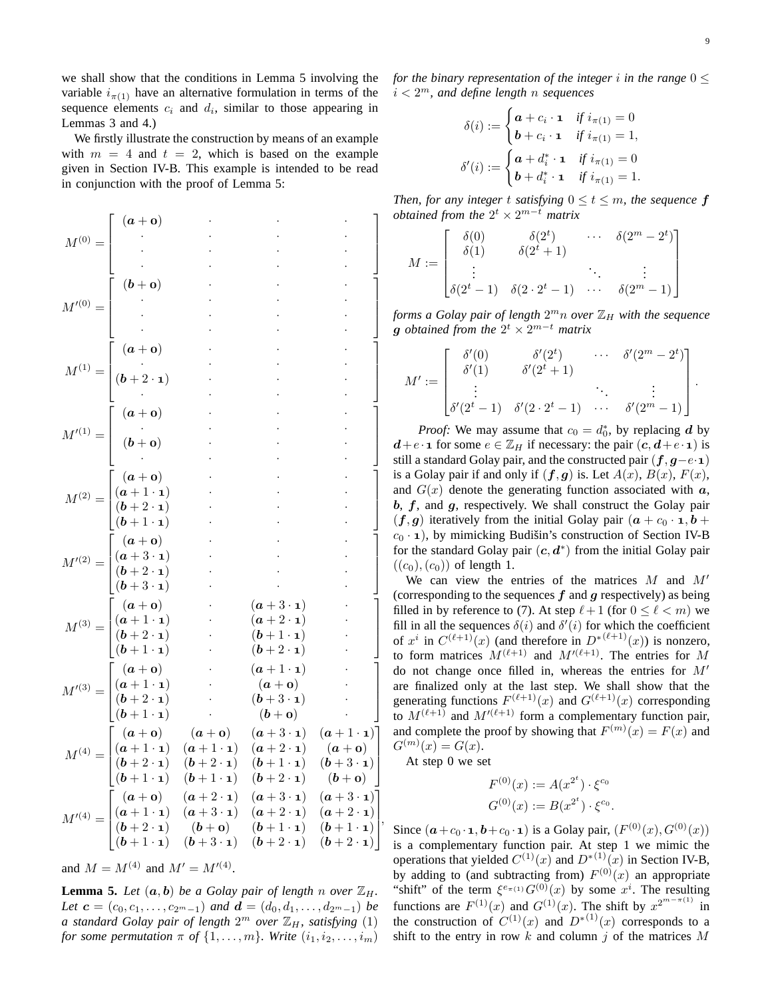we shall show that the conditions in Lemma 5 involving the variable  $i_{\pi(1)}$  have an alternative formulation in terms of the sequence elements  $c_i$  and  $d_i$ , similar to those appearing in Lemmas 3 and 4.)

We firstly illustrate the construction by means of an example with  $m = 4$  and  $t = 2$ , which is based on the example given in Section IV-B. This example is intended to be read in conjunction with the proof of Lemma 5:

$$
M^{(0)} = \begin{bmatrix} (a + 0) & \cdots & \cdots & \cdots & \cdots \\ (b + 0) & \cdots & \cdots & \cdots & \cdots \\ (b + 0) & \cdots & \cdots & \cdots & \cdots \\ (a + 0) & \cdots & \cdots & \cdots & \cdots \\ (b + 2 \cdot 1) & \cdots & \cdots & \cdots & \cdots \\ (b + 0) & \cdots & \cdots & \cdots & \cdots \\ (b + 0) & \cdots & \cdots & \cdots & \cdots \\ (b + 1 \cdot 1) & \cdots & \cdots & \cdots & \cdots \\ (b + 2 \cdot 1) & \cdots & \cdots & \cdots & \cdots \\ (b + 2 \cdot 1) & \cdots & \cdots & \cdots & \cdots \\ (b + 2 \cdot 1) & \cdots & \cdots & \cdots & \cdots \\ (b + 3 \cdot 1) & \cdots & \cdots & \cdots & \cdots \\ (b + 1 \cdot 1) & \cdots & (a + 3 \cdot 1) & \cdots \\ (b + 1 \cdot 1) & \cdots & (b + 2 \cdot 1) & \cdots \\ (b + 1 \cdot 1) & \cdots & (b + 2 \cdot 1) & \cdots \\ (b + 1 \cdot 1) & \cdots & (b + 3 \cdot 1) & \cdots \\ (b + 1 \cdot 1) & \cdots & (b + 3 \cdot 1) & \cdots \\ (b + 1 \cdot 1) & \cdots & (b + 3 \cdot 1) & \cdots \\ (b + 1 \cdot 1) & (b + 2 \cdot 1) & (b + 2 \cdot 1) & (a + 3 \cdot 1) \\ (b + 1 \cdot 1) & (b + 2 \cdot 1) & (b + 2 \cdot 1) & (b + 3 \cdot 1) \\ (b + 1 \cdot 1) & (b + 2 \cdot 1) & (b + 2 \cdot 1) & (b + 3 \cdot 1) \\ (b + 1 \cdot 1) & (b + 2 \cdot 1) & (b + 2 \cdot 1) & (b + 3 \cdot 1) \\ (b + 1 \cdot 1) & (b + 2 \cdot 1) & (b + 2 \cdot 1) & (b + 3 \cdot 1) \\ (b + 1 \cdot 1) & (b + 2 \cdot 1) & (b + 2 \cdot 1) & (b + 2 \cdot 1) \\ (b +
$$

and  $M = M^{(4)}$  and  $M' = M'^{(4)}$ .

**Lemma 5.** Let  $(a, b)$  be a Golay pair of length n over  $\mathbb{Z}_H$ . *Let*  $c = (c_0, c_1, \ldots, c_{2^m-1})$  *and*  $d = (d_0, d_1, \ldots, d_{2^m-1})$  *be a standard Golay pair of length*  $2^m$  *over*  $\mathbb{Z}_H$ *, satisfying*  $(1)$ *for some permutation*  $\pi$  *of*  $\{1, \ldots, m\}$ *. Write*  $(i_1, i_2, \ldots, i_m)$ 

*for the binary representation of the integer i in the range*  $0 \leq$ i < 2 <sup>m</sup>*, and define length* n *sequences*

$$
\delta(i) := \begin{cases}\n\mathbf{a} + c_i \cdot \mathbf{1} & \text{if } i_{\pi(1)} = 0 \\
\mathbf{b} + c_i \cdot \mathbf{1} & \text{if } i_{\pi(1)} = 1, \n\end{cases}
$$
\n
$$
\delta'(i) := \begin{cases}\n\mathbf{a} + d_i^* \cdot \mathbf{1} & \text{if } i_{\pi(1)} = 0 \\
\mathbf{b} + d_i^* \cdot \mathbf{1} & \text{if } i_{\pi(1)} = 1.\n\end{cases}
$$

*Then, for any integer t satisfying*  $0 \le t \le m$ *, the sequence* **f** *obtained from the*  $2^t \times 2^{m-t}$  *matrix* 

$$
M := \begin{bmatrix} \delta(0) & \delta(2^t) & \cdots & \delta(2^m - 2^t) \\ \delta(1) & \delta(2^t + 1) & & \\ \vdots & & \ddots & \vdots \\ \delta(2^t - 1) & \delta(2 \cdot 2^t - 1) & \cdots & \delta(2^m - 1) \end{bmatrix}
$$

forms a Golay pair of length  $2^m n$  over  $\mathbb{Z}_H$  with the sequence  $g$  *obtained from the*  $2^t \times 2^{m-t}$  *matrix* 

$$
M' := \begin{bmatrix} \delta'(0) & \delta'(2^t) & \cdots & \delta'(2^m - 2^t) \\ \delta'(1) & \delta'(2^t + 1) & & \\ \vdots & & \ddots & \vdots \\ \delta'(2^t - 1) & \delta'(2 \cdot 2^t - 1) & \cdots & \delta'(2^m - 1) \end{bmatrix}.
$$

*Proof:* We may assume that  $c_0 = d_0^*$ , by replacing d by  $d+e\cdot \mathbf{1}$  for some  $e \in \mathbb{Z}_H$  if necessary: the pair  $(c, d+e\cdot \mathbf{1})$  is still a standard Golay pair, and the constructed pair  $(f, g-e \cdot \mathbf{1})$ is a Golay pair if and only if  $(f, g)$  is. Let  $A(x)$ ,  $B(x)$ ,  $F(x)$ , and  $G(x)$  denote the generating function associated with  $a$ ,  $b, f,$  and  $g$ , respectively. We shall construct the Golay pair  $(f, g)$  iteratively from the initial Golay pair  $(a + c_0 \cdot \mathbf{1}, b + d)$  $c_0 \cdot \mathbf{1}$ ), by mimicking Budišin's construction of Section IV-B for the standard Golay pair  $(c, d^*)$  from the initial Golay pair  $((c_0), (c_0))$  of length 1.

We can view the entries of the matrices  $M$  and  $M'$ (corresponding to the sequences  $f$  and  $g$  respectively) as being filled in by reference to (7). At step  $\ell + 1$  (for  $0 \leq \ell < m$ ) we fill in all the sequences  $\delta(i)$  and  $\delta'(i)$  for which the coefficient of  $x^i$  in  $C^{(\ell+1)}(x)$  (and therefore in  $D^{*(\ell+1)}(x)$ ) is nonzero, to form matrices  $M^{(\ell+1)}$  and  $M^{(\ell+1)}$ . The entries for M do not change once filled in, whereas the entries for  $M'$ are finalized only at the last step. We shall show that the generating functions  $F^{(\ell+1)}(x)$  and  $G^{(\ell+1)}(x)$  corresponding to  $M^{(\ell+1)}$  and  $M'^{(\ell+1)}$  form a complementary function pair, and complete the proof by showing that  $F^{(m)}(x) = F(x)$  and  $G^{(m)}(x) = G(x).$ 

At step 0 we set

,

$$
F^{(0)}(x) := A(x^{2^t}) \cdot \xi^{c_0}
$$
  

$$
G^{(0)}(x) := B(x^{2^t}) \cdot \xi^{c_0}.
$$

Since  $(a + c_0 \cdot \mathbf{1}, b + c_0 \cdot \mathbf{1})$  is a Golay pair,  $(F^{(0)}(x), G^{(0)}(x))$ is a complementary function pair. At step 1 we mimic the operations that yielded  $C^{(1)}(x)$  and  $D^{*(1)}(x)$  in Section IV-B, by adding to (and subtracting from)  $F^{(0)}(x)$  an appropriate "shift" of the term  $\xi^{e_{\pi(1)}} G^{(0)}(x)$  by some  $x^i$ . The resulting functions are  $F^{(1)}(x)$  and  $G^{(1)}(x)$ . The shift by  $x^{2^{m-\pi(1)}}$  in the construction of  $C^{(1)}(x)$  and  $D^{*(1)}(x)$  corresponds to a shift to the entry in row  $k$  and column  $j$  of the matrices  $M$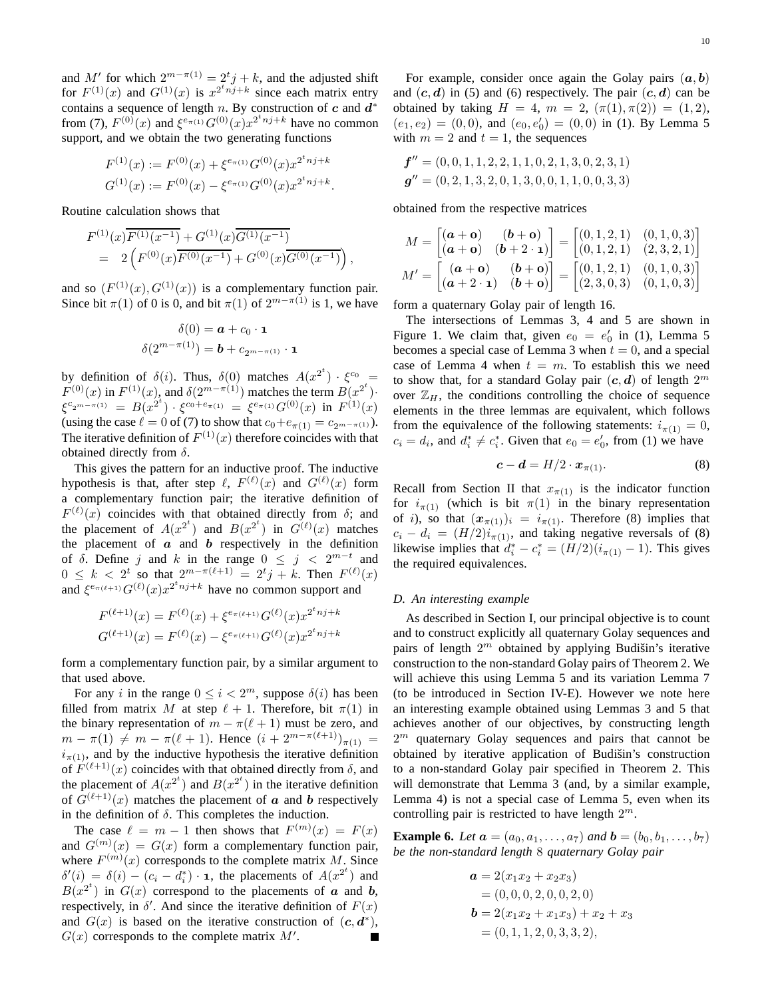and M' for which  $2^{m-\pi(1)} = 2^t j + k$ , and the adjusted shift for  $F^{(1)}(x)$  and  $G^{(1)}(x)$  is  $x^{2^t n j+k}$  since each matrix entry contains a sequence of length n. By construction of  $c$  and  $d^*$ from (7),  $F^{(0)}(x)$  and  $\xi^{e_{\pi(1)}} G^{(0)}(x) x^{2^t n j + k}$  have no common support, and we obtain the two generating functions

$$
F^{(1)}(x) := F^{(0)}(x) + \xi^{e_{\pi(1)}} G^{(0)}(x) x^{2^t n j + k}
$$
  

$$
G^{(1)}(x) := F^{(0)}(x) - \xi^{e_{\pi(1)}} G^{(0)}(x) x^{2^t n j + k}.
$$

Routine calculation shows that

$$
F^{(1)}(x)\overline{F^{(1)}(x^{-1})} + G^{(1)}(x)\overline{G^{(1)}(x^{-1})}
$$
  
= 
$$
2\left(F^{(0)}(x)\overline{F^{(0)}(x^{-1})} + G^{(0)}(x)\overline{G^{(0)}(x^{-1})}\right),
$$

and so  $(F^{(1)}(x), G^{(1)}(x))$  is a complementary function pair. Since bit  $\pi(1)$  of 0 is 0, and bit  $\pi(1)$  of  $2^{m-\pi(1)}$  is 1, we have

$$
\delta(0) = \mathbf{a} + c_0 \cdot \mathbf{1}
$$

$$
\delta(2^{m-\pi(1)}) = \mathbf{b} + c_{2^{m-\pi(1)}} \cdot \mathbf{1}
$$

by definition of  $\delta(i)$ . Thus,  $\delta(0)$  matches  $A(x^{2^t}) \cdot \xi^{c_0} =$  $F^{(0)}(x)$  in  $F^{(1)}(x)$ , and  $\delta(2^{m-\pi(1)})$  matches the term  $B(x^{2^t})$ .  $\xi^{c_2 m - \pi(1)} = B(x^{2^t}) \cdot \xi^{c_0 + e_{\pi(1)}} = \xi^{e_{\pi(1)}} G^{(0)}(x)$  in  $F^{(1)}(x)$ (using the case  $\ell = 0$  of (7) to show that  $c_0 + e_{\pi(1)} = c_{2^{m-\pi(1)}}$ ). The iterative definition of  $F^{(1)}(x)$  therefore coincides with that obtained directly from  $\delta$ .

This gives the pattern for an inductive proof. The inductive hypothesis is that, after step  $\ell$ ,  $F^{(\ell)}(x)$  and  $G^{(\ell)}(x)$  form a complementary function pair; the iterative definition of  $F^{(\ell)}(x)$  coincides with that obtained directly from  $\delta$ ; and the placement of  $A(x^{2^t})$  and  $B(x^{2^t})$  in  $G^{(\ell)}(x)$  matches the placement of  $\boldsymbol{a}$  and  $\boldsymbol{b}$  respectively in the definition of  $\delta$ . Define j and k in the range  $0 \leq j \leq 2^{m-t}$  and  $0 \leq k < 2^t$  so that  $2^{m-\pi(\ell+1)} = 2^t j + k$ . Then  $F^{(\ell)}(x)$ and  $\xi^{e_{\pi(\ell+1)}} G^{(\ell)}(x) x^{2^t n j + k}$  have no common support and

$$
F^{(\ell+1)}(x) = F^{(\ell)}(x) + \xi^{e_{\pi(\ell+1)}} G^{(\ell)}(x) x^{2^t n j + k}
$$
  

$$
G^{(\ell+1)}(x) = F^{(\ell)}(x) - \xi^{e_{\pi(\ell+1)}} G^{(\ell)}(x) x^{2^t n j + k}
$$

form a complementary function pair, by a similar argument to that used above.

For any i in the range  $0 \le i < 2^m$ , suppose  $\delta(i)$  has been filled from matrix M at step  $\ell + 1$ . Therefore, bit  $\pi(1)$  in the binary representation of  $m - \pi(\ell + 1)$  must be zero, and  $m - \pi(1) \neq m - \pi(\ell+1)$ . Hence  $(i + 2^{m-\pi(\ell+1)})_{\pi(1)} =$  $i_{\pi(1)}$ , and by the inductive hypothesis the iterative definition of  $F^{(\ell+1)}(x)$  coincides with that obtained directly from  $\delta$ , and the placement of  $A(x^{2^t})$  and  $B(x^{2^t})$  in the iterative definition of  $G^{(\ell+1)}(x)$  matches the placement of a and b respectively in the definition of  $\delta$ . This completes the induction.

The case  $\ell = m - 1$  then shows that  $F^{(m)}(x) = F(x)$ and  $G^{(m)}(x) = G(x)$  form a complementary function pair, where  $F^{(m)}(x)$  corresponds to the complete matrix M. Since  $\delta'(i) = \delta(i) - (c_i - d_i^*) \cdot \mathbf{1}$ , the placements of  $A(x^{2^t})$  and  $B(x^{2^t})$  in  $G(x)$  correspond to the placements of a and b, respectively, in  $\delta'$ . And since the iterative definition of  $F(x)$ and  $G(x)$  is based on the iterative construction of  $(c, d^*)$ ,  $G(x)$  corresponds to the complete matrix  $M'$ .

For example, consider once again the Golay pairs  $(a, b)$ and  $(c, d)$  in (5) and (6) respectively. The pair  $(c, d)$  can be obtained by taking  $H = 4$ ,  $m = 2$ ,  $(\pi(1), \pi(2)) = (1, 2)$ ,  $(e_1, e_2) = (0, 0)$ , and  $(e_0, e'_0) = (0, 0)$  in (1). By Lemma 5 with  $m = 2$  and  $t = 1$ , the sequences

$$
\mathbf{f}'' = (0, 0, 1, 1, 2, 2, 1, 1, 0, 2, 1, 3, 0, 2, 3, 1)
$$
  

$$
\mathbf{g}'' = (0, 2, 1, 3, 2, 0, 1, 3, 0, 0, 1, 1, 0, 0, 3, 3)
$$

obtained from the respective matrices

$$
M = \begin{bmatrix} (\mathbf{a} + \mathbf{o}) & (\mathbf{b} + \mathbf{o}) \\ (\mathbf{a} + \mathbf{o}) & (\mathbf{b} + 2 \cdot \mathbf{1}) \end{bmatrix} = \begin{bmatrix} (0, 1, 2, 1) & (0, 1, 0, 3) \\ (0, 1, 2, 1) & (2, 3, 2, 1) \end{bmatrix}
$$

$$
M' = \begin{bmatrix} (\mathbf{a} + \mathbf{o}) & (\mathbf{b} + \mathbf{o}) \\ (\mathbf{a} + 2 \cdot \mathbf{1}) & (\mathbf{b} + \mathbf{o}) \end{bmatrix} = \begin{bmatrix} (0, 1, 2, 1) & (0, 1, 0, 3) \\ (2, 3, 0, 3) & (0, 1, 0, 3) \end{bmatrix}
$$

form a quaternary Golay pair of length 16.

The intersections of Lemmas 3, 4 and 5 are shown in Figure 1. We claim that, given  $e_0 = e'_0$  in (1), Lemma 5 becomes a special case of Lemma 3 when  $t = 0$ , and a special case of Lemma 4 when  $t = m$ . To establish this we need to show that, for a standard Golay pair  $(c, d)$  of length  $2^m$ over  $\mathbb{Z}_H$ , the conditions controlling the choice of sequence elements in the three lemmas are equivalent, which follows from the equivalence of the following statements:  $i_{\pi(1)} = 0$ ,  $c_i = d_i$ , and  $d_i^* \neq c_i^*$ . Given that  $e_0 = e'_0$ , from (1) we have

$$
\boldsymbol{c} - \boldsymbol{d} = H/2 \cdot \boldsymbol{x}_{\pi(1)}.
$$
 (8)

Recall from Section II that  $x_{\pi(1)}$  is the indicator function for  $i_{\pi(1)}$  (which is bit  $\pi(1)$  in the binary representation of i), so that  $(x_{\pi(1)})_i = i_{\pi(1)}$ . Therefore (8) implies that  $c_i - d_i = (H/2)i_{\pi(1)}$ , and taking negative reversals of (8) likewise implies that  $d_i^* - c_i^* = (H/2)(i_{\pi(1)} - 1)$ . This gives the required equivalences.

## *D. An interesting example*

As described in Section I, our principal objective is to count and to construct explicitly all quaternary Golay sequences and pairs of length  $2^m$  obtained by applying Budišin's iterative construction to the non-standard Golay pairs of Theorem 2. We will achieve this using Lemma 5 and its variation Lemma 7 (to be introduced in Section IV-E). However we note here an interesting example obtained using Lemmas 3 and 5 that achieves another of our objectives, by constructing length  $2<sup>m</sup>$  quaternary Golay sequences and pairs that cannot be obtained by iterative application of Budišin's construction to a non-standard Golay pair specified in Theorem 2. This will demonstrate that Lemma 3 (and, by a similar example, Lemma 4) is not a special case of Lemma 5, even when its controlling pair is restricted to have length  $2^m$ .

**Example 6.** Let  $a = (a_0, a_1, \ldots, a_7)$  and  $b = (b_0, b_1, \ldots, b_7)$ *be the non-standard length* 8 *quaternary Golay pair*

$$
a = 2(x_1x_2 + x_2x_3)
$$
  
= (0, 0, 0, 2, 0, 0, 2, 0)  

$$
b = 2(x_1x_2 + x_1x_3) + x_2 + x_3
$$
  
= (0, 1, 1, 2, 0, 3, 3, 2),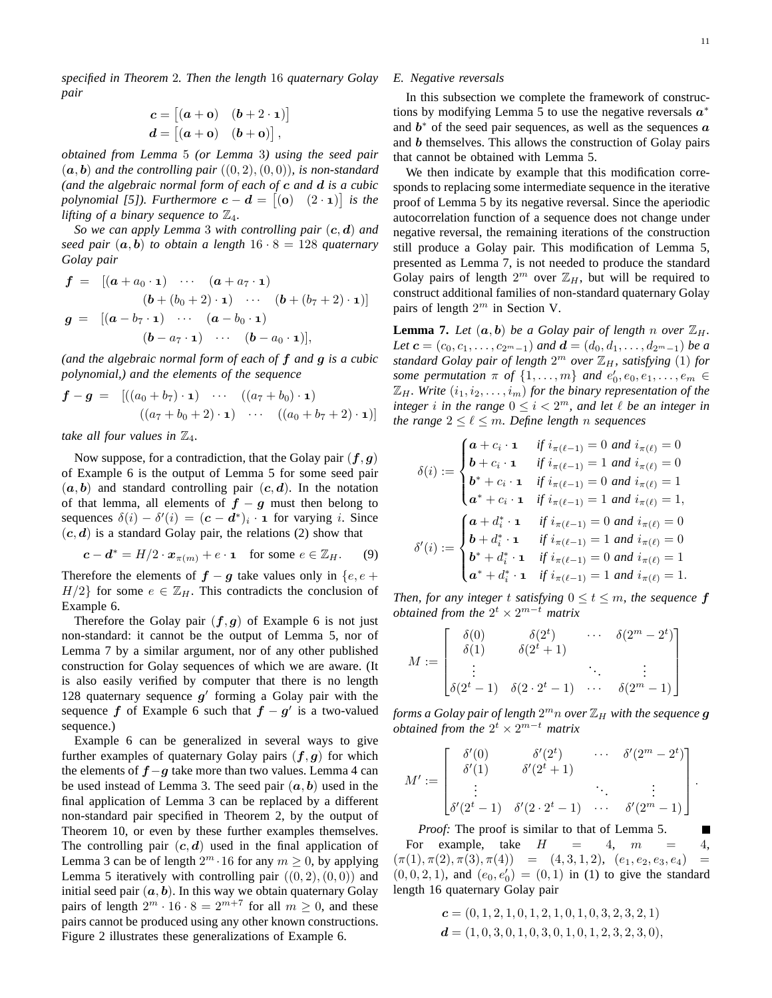*specified in Theorem* 2*. Then the length* 16 *quaternary Golay pair*

$$
c = [(a + \mathbf{o}) \quad (b + 2 \cdot \mathbf{1})]
$$

$$
d = [(a + \mathbf{o}) \quad (b + \mathbf{o})],
$$

*obtained from Lemma* 5 *(or Lemma* 3*) using the seed pair*  $(a, b)$  *and the controlling pair*  $((0, 2), (0, 0))$ *, is non-standard (and the algebraic normal form of each of* c *and* d *is a cubic polynomial [5]). Furthermore*  $\mathbf{c} - \mathbf{d} = [(\mathbf{o}) \quad (2 \cdot \mathbf{1})]$  *is the lifting of a binary sequence to*  $\mathbb{Z}_4$ *.* 

*So we can apply Lemma* 3 *with controlling pair* (c, d) *and seed pair*  $(a, b)$  *to obtain a length*  $16 \cdot 8 = 128$  *quaternary Golay pair*

$$
f = [(a + a_0 \cdot \mathbf{1}) \cdots (a + a_7 \cdot \mathbf{1})
$$
  
\n
$$
(b + (b_0 + 2) \cdot \mathbf{1}) \cdots (b + (b_7 + 2) \cdot \mathbf{1})]
$$
  
\n
$$
g = [(a - b_7 \cdot \mathbf{1}) \cdots (a - b_0 \cdot \mathbf{1})
$$
  
\n
$$
(b - a_7 \cdot \mathbf{1}) \cdots (b - a_0 \cdot \mathbf{1})],
$$

*(and the algebraic normal form of each of* f *and* g *is a cubic polynomial,) and the elements of the sequence*

$$
\mathbf{f} - \mathbf{g} = [((a_0 + b_7) \cdot \mathbf{1}) \cdots ((a_7 + b_0) \cdot \mathbf{1})
$$
  

$$
((a_7 + b_0 + 2) \cdot \mathbf{1}) \cdots ((a_0 + b_7 + 2) \cdot \mathbf{1})]
$$

*take all four values in*  $\mathbb{Z}_4$ *.* 

Now suppose, for a contradiction, that the Golay pair  $(f, g)$ of Example 6 is the output of Lemma 5 for some seed pair  $(a, b)$  and standard controlling pair  $(c, d)$ . In the notation of that lemma, all elements of  $f - g$  must then belong to sequences  $\delta(i) - \delta'(i) = (\mathbf{c} - \mathbf{d}^*)_i \cdot \mathbf{1}$  for varying i. Since  $(c, d)$  is a standard Golay pair, the relations (2) show that

$$
\mathbf{c} - \mathbf{d}^* = H/2 \cdot \mathbf{x}_{\pi(m)} + e \cdot \mathbf{1} \quad \text{for some } e \in \mathbb{Z}_H. \tag{9}
$$

Therefore the elements of  $f - g$  take values only in  $\{e, e + g\}$  $H/2$  for some  $e \in \mathbb{Z}_H$ . This contradicts the conclusion of Example 6.

Therefore the Golay pair  $(f, g)$  of Example 6 is not just non-standard: it cannot be the output of Lemma 5, nor of Lemma 7 by a similar argument, nor of any other published construction for Golay sequences of which we are aware. (It is also easily verified by computer that there is no length 128 quaternary sequence  $g'$  forming a Golay pair with the sequence  $f$  of Example 6 such that  $f - g'$  is a two-valued sequence.)

Example 6 can be generalized in several ways to give further examples of quaternary Golay pairs  $(f, g)$  for which the elements of  $f-g$  take more than two values. Lemma 4 can be used instead of Lemma 3. The seed pair  $(a, b)$  used in the final application of Lemma 3 can be replaced by a different non-standard pair specified in Theorem 2, by the output of Theorem 10, or even by these further examples themselves. The controlling pair  $(c, d)$  used in the final application of Lemma 3 can be of length  $2^m \cdot 16$  for any  $m \ge 0$ , by applying Lemma 5 iteratively with controlling pair  $((0, 2), (0, 0))$  and initial seed pair  $(a, b)$ . In this way we obtain quaternary Golay pairs of length  $2^m \cdot 16 \cdot 8 = 2^{m+7}$  for all  $m \ge 0$ , and these pairs cannot be produced using any other known constructions. Figure 2 illustrates these generalizations of Example 6.

## *E. Negative reversals*

In this subsection we complete the framework of constructions by modifying Lemma 5 to use the negative reversals  $a^*$ and  $b^*$  of the seed pair sequences, as well as the sequences  $a$ and b themselves. This allows the construction of Golay pairs that cannot be obtained with Lemma 5.

We then indicate by example that this modification corresponds to replacing some intermediate sequence in the iterative proof of Lemma 5 by its negative reversal. Since the aperiodic autocorrelation function of a sequence does not change under negative reversal, the remaining iterations of the construction still produce a Golay pair. This modification of Lemma 5, presented as Lemma 7, is not needed to produce the standard Golay pairs of length  $2^m$  over  $\mathbb{Z}_H$ , but will be required to construct additional families of non-standard quaternary Golay pairs of length  $2^m$  in Section V.

**Lemma 7.** Let  $(a, b)$  be a Golay pair of length n over  $\mathbb{Z}_H$ . *Let*  $c = (c_0, c_1, \ldots, c_{2^m-1})$  *and*  $\mathbf{d} = (d_0, d_1, \ldots, d_{2^m-1})$  *be a standard Golay pair of length* 2 <sup>m</sup> *over* ZH*, satisfying* (1) *for some permutation*  $\pi$  *of*  $\{1, \ldots, m\}$  *and*  $e'_0, e_0, e_1, \ldots, e_m \in$  $\mathbb{Z}_H$ *. Write*  $(i_1, i_2, \ldots, i_m)$  *for the binary representation of the integer i in the range*  $0 \le i < 2^m$ *, and let*  $\ell$  *be an integer in the range*  $2 \leq \ell \leq m$ *. Define length n sequences* 

$$
\delta(i) := \begin{cases}\na + c_i \cdot \mathbf{1} & \text{if } i_{\pi(\ell-1)} = 0 \text{ and } i_{\pi(\ell)} = 0 \\
b + c_i \cdot \mathbf{1} & \text{if } i_{\pi(\ell-1)} = 1 \text{ and } i_{\pi(\ell)} = 0 \\
b^* + c_i \cdot \mathbf{1} & \text{if } i_{\pi(\ell-1)} = 0 \text{ and } i_{\pi(\ell)} = 1 \\
a^* + c_i \cdot \mathbf{1} & \text{if } i_{\pi(\ell-1)} = 1 \text{ and } i_{\pi(\ell)} = 1, \\
b + d_i^* \cdot \mathbf{1} & \text{if } i_{\pi(\ell-1)} = 0 \text{ and } i_{\pi(\ell)} = 0 \\
b^* + d_i^* \cdot \mathbf{1} & \text{if } i_{\pi(\ell-1)} = 1 \text{ and } i_{\pi(\ell)} = 0 \\
b^* + d_i^* \cdot \mathbf{1} & \text{if } i_{\pi(\ell-1)} = 0 \text{ and } i_{\pi(\ell)} = 1 \\
a^* + d_i^* \cdot \mathbf{1} & \text{if } i_{\pi(\ell-1)} = 1 \text{ and } i_{\pi(\ell)} = 1.\n\end{cases}
$$

*Then, for any integer t satisfying*  $0 \le t \le m$ *, the sequence* f *obtained from the*  $2^t \times 2^{m-t}$  *matrix* 

$$
M := \begin{bmatrix} \delta(0) & \delta(2^t) & \cdots & \delta(2^m - 2^t) \\ \delta(1) & \delta(2^t + 1) & & \vdots \\ \vdots & & \ddots & \vdots \\ \delta(2^t - 1) & \delta(2 \cdot 2^t - 1) & \cdots & \delta(2^m - 1) \end{bmatrix}
$$

forms a Golay pair of length  $2^m n$  over  $\mathbb{Z}_H$  with the sequence  $\boldsymbol{g}$ *obtained from the*  $2^t \times 2^{m-t}$  *matrix* 

$$
M' := \begin{bmatrix} \delta'(0) & \delta'(2^t) & \cdots & \delta'(2^m - 2^t) \\ \delta'(1) & \delta'(2^t + 1) & & \\ \vdots & & \ddots & \vdots \\ \delta'(2^t - 1) & \delta'(2 \cdot 2^t - 1) & \cdots & \delta'(2^m - 1) \end{bmatrix}.
$$

*Proof:* The proof is similar to that of Lemma 5. Г For example, take  $H = 4$ ,  $m = 4$ ,  $(\pi(1), \pi(2), \pi(3), \pi(4)) = (4, 3, 1, 2), (e_1, e_2, e_3, e_4) =$  $(0, 0, 2, 1)$ , and  $(e_0, e'_0) = (0, 1)$  in (1) to give the standard length 16 quaternary Golay pair

$$
c = (0, 1, 2, 1, 0, 1, 2, 1, 0, 1, 0, 3, 2, 3, 2, 1)
$$
  

$$
d = (1, 0, 3, 0, 1, 0, 3, 0, 1, 0, 1, 2, 3, 2, 3, 0),
$$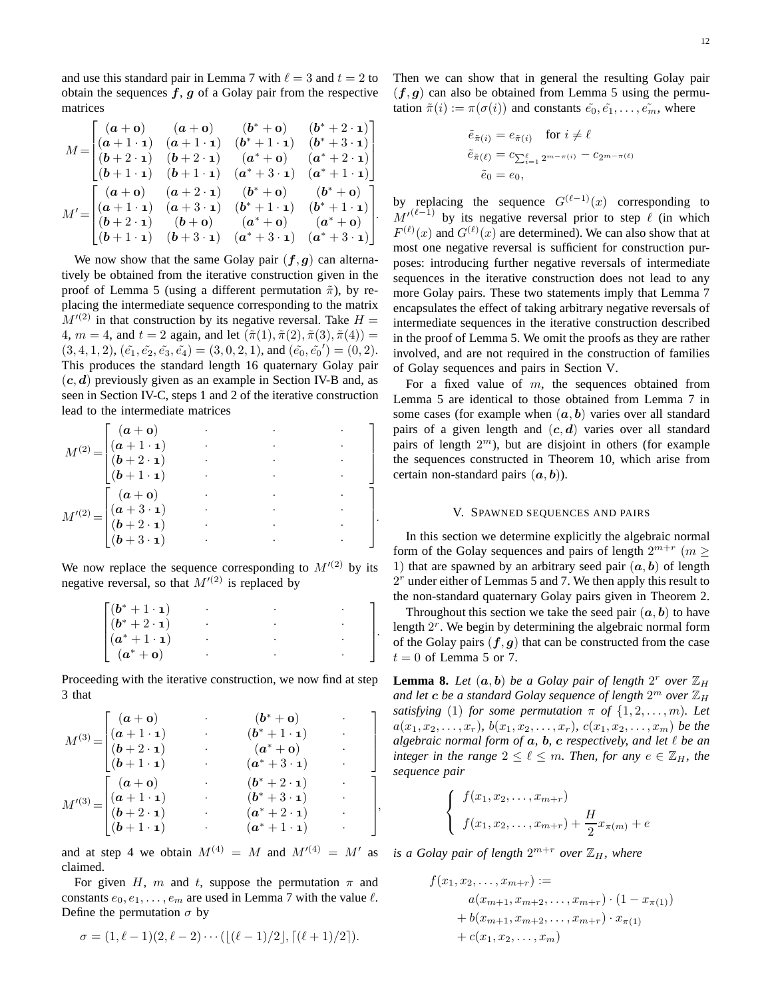and use this standard pair in Lemma 7 with  $\ell = 3$  and  $t = 2$  to obtain the sequences  $f, g$  of a Golay pair from the respective matrices

$$
M = \begin{bmatrix} (a + \mathbf{0}) & (a + \mathbf{0}) & (b^* + \mathbf{0}) & (b^* + 2 \cdot \mathbf{1}) \\ (a + 1 \cdot \mathbf{1}) & (a + 1 \cdot \mathbf{1}) & (b^* + 1 \cdot \mathbf{1}) & (b^* + 3 \cdot \mathbf{1}) \\ (b + 2 \cdot \mathbf{1}) & (b + 2 \cdot \mathbf{1}) & (a^* + \mathbf{0}) & (a^* + 2 \cdot \mathbf{1}) \\ (b + 1 \cdot \mathbf{1}) & (b + 1 \cdot \mathbf{1}) & (a^* + 3 \cdot \mathbf{1}) & (a^* + 1 \cdot \mathbf{1}) \end{bmatrix} \\ M' = \begin{bmatrix} (a + \mathbf{0}) & (a + 2 \cdot \mathbf{1}) & (b^* + \mathbf{0}) & (b^* + \mathbf{0}) \\ (a + 1 \cdot \mathbf{1}) & (a + 3 \cdot \mathbf{1}) & (b^* + 1 \cdot \mathbf{1}) & (b^* + 1 \cdot \mathbf{1}) \\ (b + 2 \cdot \mathbf{1}) & (b + \mathbf{0}) & (a^* + \mathbf{0}) & (a^* + \mathbf{0}) \\ (b + 1 \cdot \mathbf{1}) & (b + 3 \cdot \mathbf{1}) & (a^* + 3 \cdot \mathbf{1}) & (a^* + 3 \cdot \mathbf{1}) \end{bmatrix}.
$$

.

,

We now show that the same Golay pair  $(f, g)$  can alternatively be obtained from the iterative construction given in the proof of Lemma 5 (using a different permutation  $\tilde{\pi}$ ), by replacing the intermediate sequence corresponding to the matrix  $M^{(2)}$  in that construction by its negative reversal. Take  $H =$ 4,  $m = 4$ , and  $t = 2$  again, and let  $(\tilde{\pi}(1), \tilde{\pi}(2), \tilde{\pi}(3), \tilde{\pi}(4)) =$  $(3, 4, 1, 2), (\tilde{e_1}, \tilde{e_2}, \tilde{e_3}, \tilde{e_4}) = (3, 0, 2, 1),$  and  $(\tilde{e_0}, \tilde{e_0}') = (0, 2).$ This produces the standard length 16 quaternary Golay pair  $(c, d)$  previously given as an example in Section IV-B and, as seen in Section IV-C, steps 1 and 2 of the iterative construction lead to the intermediate matrices

$$
M^{(2)} = \begin{bmatrix} (a + \mathbf{o}) & & & & & \\ (a + 1 \cdot \mathbf{1}) & & & & & \\ (b + 2 \cdot \mathbf{1}) & & & & & \\ (b + 1 \cdot \mathbf{1}) & & & & & \\ (b + 1 \cdot \mathbf{1}) & & & & & \\ (a + 3 \cdot \mathbf{1}) & & & & & \\ (b + 2 \cdot \mathbf{1}) & & & & & \\ (b + 3 \cdot \mathbf{1}) & & & & & \\ (b + 3 \cdot \mathbf{1}) & & & & & \\ (b + 3 \cdot \mathbf{1}) & & & & & \\ (c + 3 \cdot \mathbf{1}) & & & & & \\ (d + 3 \cdot \mathbf{1}) & & & & & \\ (e + 3 \cdot \mathbf{1}) & & & & & \\ (e + 3 \cdot \mathbf{1}) & & & & & \\ (e + 3 \cdot \mathbf{1}) & & & & & \\ (e + 3 \cdot \mathbf{1}) & & & & & \\ (e + 3 \cdot \mathbf{1}) & & & & & \\ (e + 3 \cdot \mathbf{1}) & & & & & \\ (e + 3 \cdot \mathbf{1}) & & & & & \\ (e + 3 \cdot \mathbf{1}) & & & & & \\ (e + 3 \cdot \mathbf{1}) & & & & & \\ (e + 3 \cdot \mathbf{1}) & & & & & \\ (e + 3 \cdot \mathbf{1}) & & & & & \\ (e + 3 \cdot \mathbf{1}) & & & & & \\ (e + 3 \cdot \mathbf{1}) & & & & & \\ (e + 3 \cdot \mathbf{1}) & & & & & \\ (e + 3 \cdot \mathbf{1}) & & & & & \\ (e + 3 \cdot \mathbf{1}) & & & & & \\ (e + 3 \cdot \mathbf{1}) & & & & & \\ (e + 3 \cdot \mathbf{1}) & & & & & \\ (e + 3 \cdot \mathbf{1}) & & & & & \\ (e + 3 \cdot \mathbf{1}) & & & & & \\ (e + 3 \cdot \mathbf{1}) & & & & & \\ (e + 3 \cdot \mathbf{1}) & & & & & \\ (e + 3 \cdot \mathbf{1}) & & & & & \\ (e + 3 \cdot \mathbf{1}) & & & & & \\ (e + 3 \cdot \mathbf{1}) & & & & & \\ (e + 3 \cdot \mathbf{1}) & & & & & \\ (e + 3 \cdot \mathbf{1}) & & & & & \\ (e + 3 \cdot \mathbf{
$$

We now replace the sequence corresponding to  $M^{(2)}$  by its negative reversal, so that  $M^{(2)}$  is replaced by

$$
\begin{bmatrix}\n(b^* + 1 \cdot 1) & & & \\
(b^* + 2 \cdot 1) & & & \\
(a^* + 1 \cdot 1) & & & \\
(a^* + 0) & & & \\
\end{bmatrix}.
$$

Proceeding with the iterative construction, we now find at step 3 that

$$
M^{(3)} = \begin{bmatrix} (a + \mathbf{0}) & \cdot & (b^* + \mathbf{0}) \\ (a + 1 \cdot \mathbf{1}) & \cdot & (b^* + 1 \cdot \mathbf{1}) \\ (b + 2 \cdot \mathbf{1}) & \cdot & (a^* + \mathbf{0}) \\ (b + 1 \cdot \mathbf{1}) & \cdot & (a^* + 3 \cdot \mathbf{1}) \end{bmatrix}
$$

$$
M'^{(3)} = \begin{bmatrix} (a + \mathbf{0}) & \cdot & (b^* + 2 \cdot \mathbf{1}) \\ (a + 1 \cdot \mathbf{1}) & \cdot & (b^* + 3 \cdot \mathbf{1}) \\ (b + 2 \cdot \mathbf{1}) & \cdot & (a^* + 2 \cdot \mathbf{1}) \\ (b + 1 \cdot \mathbf{1}) & \cdot & (a^* + 1 \cdot \mathbf{1}) \end{bmatrix}
$$

and at step 4 we obtain  $M^{(4)} = M$  and  $M^{(4)} = M'$  as claimed.

For given H, m and t, suppose the permutation  $\pi$  and constants  $e_0, e_1, \ldots, e_m$  are used in Lemma 7 with the value  $\ell$ . Define the permutation  $\sigma$  by

$$
\sigma = (1, \ell - 1)(2, \ell - 2) \cdots (\lfloor (\ell - 1)/2 \rfloor, \lceil (\ell + 1)/2 \rceil).
$$

Then we can show that in general the resulting Golay pair  $(f, g)$  can also be obtained from Lemma 5 using the permutation  $\tilde{\pi}(i) := \pi(\sigma(i))$  and constants  $\tilde{e_0}, \tilde{e_1}, \ldots, \tilde{e_m}$ , where

$$
\tilde{e}_{\tilde{\pi}(i)} = e_{\tilde{\pi}(i)} \quad \text{for } i \neq \ell
$$

$$
\tilde{e}_{\tilde{\pi}(\ell)} = c_{\sum_{i=1}^{\ell} 2^{m-\pi(i)}} - c_{2^{m-\pi(\ell)}}
$$

$$
\tilde{e}_0 = e_0,
$$

by replacing the sequence  $G^{(\ell-1)}(x)$  corresponding to  $M^{(\ell-1)}$  by its negative reversal prior to step  $\ell$  (in which  $F^{(\ell)}(x)$  and  $G^{(\ell)}(x)$  are determined). We can also show that at most one negative reversal is sufficient for construction purposes: introducing further negative reversals of intermediate sequences in the iterative construction does not lead to any more Golay pairs. These two statements imply that Lemma 7 encapsulates the effect of taking arbitrary negative reversals of intermediate sequences in the iterative construction described in the proof of Lemma 5. We omit the proofs as they are rather involved, and are not required in the construction of families of Golay sequences and pairs in Section V.

For a fixed value of  $m$ , the sequences obtained from Lemma 5 are identical to those obtained from Lemma 7 in some cases (for example when  $(a, b)$  varies over all standard pairs of a given length and  $(c, d)$  varies over all standard pairs of length  $2<sup>m</sup>$ ), but are disjoint in others (for example the sequences constructed in Theorem 10, which arise from certain non-standard pairs  $(a, b)$ ).

# V. SPAWNED SEQUENCES AND PAIRS

In this section we determine explicitly the algebraic normal form of the Golay sequences and pairs of length  $2^{m+r}$   $(m \geq$ 1) that are spawned by an arbitrary seed pair  $(a, b)$  of length  $2<sup>r</sup>$  under either of Lemmas 5 and 7. We then apply this result to the non-standard quaternary Golay pairs given in Theorem 2.

Throughout this section we take the seed pair  $(a, b)$  to have length  $2<sup>r</sup>$ . We begin by determining the algebraic normal form of the Golay pairs  $(f, g)$  that can be constructed from the case  $t = 0$  of Lemma 5 or 7.

**Lemma 8.** Let  $(a, b)$  be a Golay pair of length  $2^r$  over  $\mathbb{Z}_H$ and let  $\boldsymbol{c}$  be a standard Golay sequence of length  $2^m$  over  $\mathbb{Z}_H$ *satisfying* (1) *for some permutation*  $\pi$  *of*  $\{1, 2, ..., m\}$ *. Let*  $a(x_1, x_2, \ldots, x_r)$ *,*  $b(x_1, x_2, \ldots, x_r)$ *,*  $c(x_1, x_2, \ldots, x_m)$  *be the algebraic normal form of* a*,* b*,* c *respectively, and let* ℓ *be an integer in the range*  $2 \leq \ell \leq m$ *. Then, for any*  $e \in \mathbb{Z}_H$ *, the sequence pair*

$$
\begin{cases}\n f(x_1, x_2, \dots, x_{m+r}) \\
 f(x_1, x_2, \dots, x_{m+r}) + \frac{H}{2}x_{\pi(m)} + e\n\end{cases}
$$

*is a Golay pair of length*  $2^{m+r}$  *over*  $\mathbb{Z}_H$ *, where* 

$$
f(x_1, x_2, \dots, x_{m+r}) :=
$$
  
\n
$$
a(x_{m+1}, x_{m+2}, \dots, x_{m+r}) \cdot (1 - x_{\pi(1)})
$$
  
\n
$$
+ b(x_{m+1}, x_{m+2}, \dots, x_{m+r}) \cdot x_{\pi(1)}
$$
  
\n
$$
+ c(x_1, x_2, \dots, x_m)
$$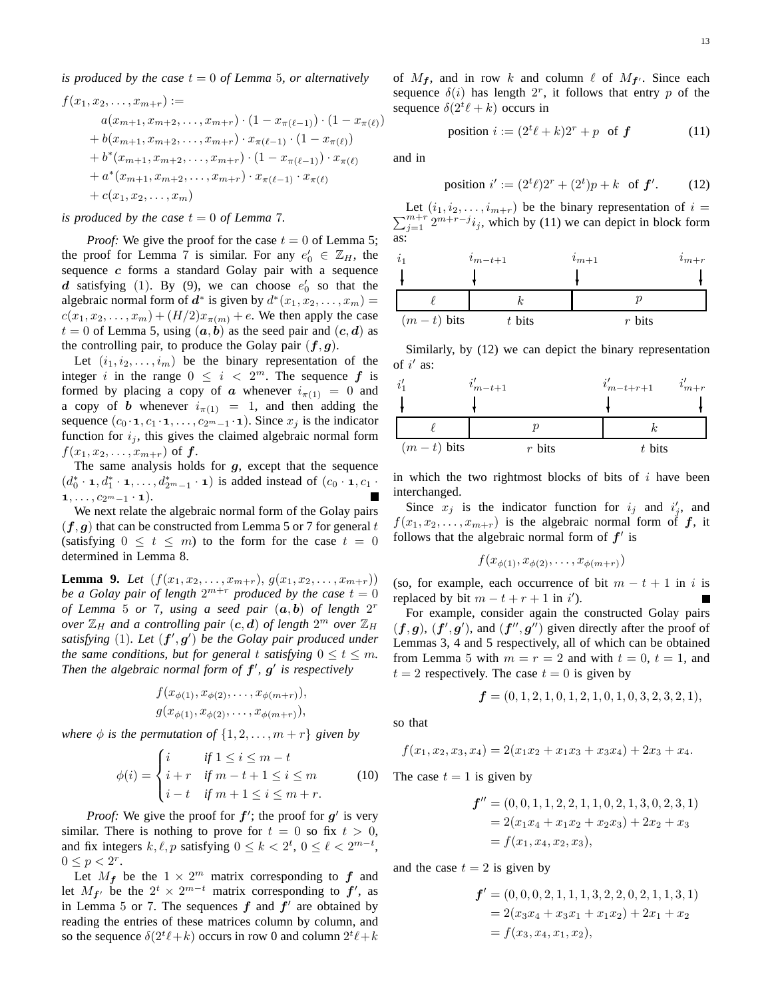*is produced by the case*  $t = 0$  *of Lemma* 5*, or alternatively* 

$$
f(x_1, x_2, \ldots, x_{m+r}) :=
$$
  
\n
$$
a(x_{m+1}, x_{m+2}, \ldots, x_{m+r}) \cdot (1 - x_{\pi(\ell-1)}) \cdot (1 - x_{\pi(\ell)})
$$
  
\n
$$
+ b(x_{m+1}, x_{m+2}, \ldots, x_{m+r}) \cdot x_{\pi(\ell-1)} \cdot (1 - x_{\pi(\ell)})
$$
  
\n
$$
+ b^*(x_{m+1}, x_{m+2}, \ldots, x_{m+r}) \cdot (1 - x_{\pi(\ell-1)}) \cdot x_{\pi(\ell)}
$$
  
\n
$$
+ a^*(x_{m+1}, x_{m+2}, \ldots, x_{m+r}) \cdot x_{\pi(\ell-1)} \cdot x_{\pi(\ell)}
$$
  
\n
$$
+ c(x_1, x_2, \ldots, x_m)
$$

*is produced by the case*  $t = 0$  *of Lemma* 7.

*Proof:* We give the proof for the case  $t = 0$  of Lemma 5; the proof for Lemma 7 is similar. For any  $e'_0 \in \mathbb{Z}_H$ , the sequence  $c$  forms a standard Golay pair with a sequence d satisfying (1). By (9), we can choose  $e'_0$  so that the algebraic normal form of  $d^*$  is given by  $d^*(x_1, x_2, \dots, x_m) =$  $c(x_1, x_2, ..., x_m) + (H/2)x_{\pi(m)} + e$ . We then apply the case  $t = 0$  of Lemma 5, using  $(a, b)$  as the seed pair and  $(c, d)$  as the controlling pair, to produce the Golay pair  $(f, g)$ .

Let  $(i_1, i_2, \ldots, i_m)$  be the binary representation of the integer i in the range  $0 \leq i < 2^m$ . The sequence f is formed by placing a copy of a whenever  $i_{\pi(1)} = 0$  and a copy of **b** whenever  $i_{\pi(1)} = 1$ , and then adding the sequence  $(c_0 \cdot \mathbf{1}, c_1 \cdot \mathbf{1}, \ldots, c_{2^m-1} \cdot \mathbf{1})$ . Since  $x_j$  is the indicator function for  $i_j$ , this gives the claimed algebraic normal form  $f(x_1, x_2, \ldots, x_{m+r})$  of  $f$ .

The same analysis holds for  $g$ , except that the sequence  $(d_0^* \cdot \mathbf{1}, d_1^* \cdot \mathbf{1}, \ldots, d_{2^m-1}^* \cdot \mathbf{1})$  is added instead of  $(c_0 \cdot \mathbf{1}, c_1 \cdot \mathbf{1})$  $1, \ldots, c_{2^m-1} \cdot \mathbf{1}).$ 

We next relate the algebraic normal form of the Golay pairs  $(f, g)$  that can be constructed from Lemma 5 or 7 for general t (satisfying  $0 \le t \le m$ ) to the form for the case  $t = 0$ determined in Lemma 8.

**Lemma 9.** *Let*  $(f(x_1, x_2, \ldots, x_{m+r}), g(x_1, x_2, \ldots, x_{m+r}))$ be a Golay pair of length  $2^{m+r}$  produced by the case  $t = 0$ *of Lemma* 5 *or* 7*, using a seed pair* (a, b) *of length* 2 r *over*  $\mathbb{Z}_H$  and a controlling pair  $(c, d)$  of length  $2^m$  over  $\mathbb{Z}_H$ satisfying (1). Let  $(f', g')$  be the Golay pair produced under *the same conditions, but for general t satisfying*  $0 \le t \le m$ *. Then the algebraic normal form of*  $f'$ *,*  $g'$  *is respectively* 

$$
f(x_{\phi(1)}, x_{\phi(2)}, \ldots, x_{\phi(m+r)}),
$$
  
 $g(x_{\phi(1)}, x_{\phi(2)}, \ldots, x_{\phi(m+r)}),$ 

*where*  $\phi$  *is the permutation of*  $\{1, 2, \ldots, m + r\}$  *given by* 

$$
\phi(i) = \begin{cases}\ni & \text{if } 1 \le i \le m - t \\
i + r & \text{if } m - t + 1 \le i \le m \\
i - t & \text{if } m + 1 \le i \le m + r.\n\end{cases} \tag{10}
$$

*Proof:* We give the proof for  $f'$ ; the proof for  $g'$  is very similar. There is nothing to prove for  $t = 0$  so fix  $t > 0$ , and fix integers  $k, \ell, p$  satisfying  $0 \le k < 2^t, 0 \le \ell < 2^{m-t}$ ,  $0 \le p < 2^r$ .

Let  $M_f$  be the  $1 \times 2^m$  matrix corresponding to  $f$  and let  $M_{f'}$  be the  $2^t \times 2^{m-t}$  matrix corresponding to  $f'$ , as in Lemma 5 or 7. The sequences  $f$  and  $f'$  are obtained by reading the entries of these matrices column by column, and so the sequence  $\delta(2^t\ell+k)$  occurs in row 0 and column  $2^t\ell+k$ 

of  $M_f$ , and in row k and column  $\ell$  of  $M_{f'}$ . Since each sequence  $\delta(i)$  has length  $2^r$ , it follows that entry p of the sequence  $\delta(2^t\ell + k)$  occurs in

$$
position i := (2t \ell + k)2r + p \text{ of } f \tag{11}
$$

and in

$$
position i' := (2t \ell)2r + (2t)p + k \text{ of } f'. \tag{12}
$$

 $\sum_{j=1}^{m+r} 2^{m+r-j} i_j$ , which by (11) we can depict in block form Let  $(i_1, i_2, \ldots, i_{m+r})$  be the binary representation of  $i =$ as:

| $\iota_1$      | $i_{m-t+1}$ | $i_{m+1}$ | $i_{m+r}$ |
|----------------|-------------|-----------|-----------|
|                |             |           |           |
|                |             |           |           |
| $(m - t)$ bits | $t$ bits    | $r$ bits  |           |

Similarly, by (12) we can depict the binary representation of  $i'$  as:

| $\iota'$       | $i_{m-t+1}$ |          | $i'_{m-t+r+1}$ | $i_{m+r}$ |
|----------------|-------------|----------|----------------|-----------|
|                |             |          |                |           |
|                |             |          |                |           |
| $(m - t)$ bits |             | $r$ bits | $t$ bits       |           |

in which the two rightmost blocks of bits of  $i$  have been interchanged.

Since  $x_j$  is the indicator function for  $i_j$  and  $i'_j$ , and  $f(x_1, x_2, \ldots, x_{m+r})$  is the algebraic normal form of  $f$ , it follows that the algebraic normal form of  $f'$  is

$$
f(x_{\phi(1)}, x_{\phi(2)}, \ldots, x_{\phi(m+r)})
$$

(so, for example, each occurrence of bit  $m - t + 1$  in i is replaced by bit  $m - t + r + 1$  in i').

For example, consider again the constructed Golay pairs  $(f, g)$ ,  $(f', g')$ , and  $(f'', g'')$  given directly after the proof of Lemmas 3, 4 and 5 respectively, all of which can be obtained from Lemma 5 with  $m = r = 2$  and with  $t = 0$ ,  $t = 1$ , and  $t = 2$  respectively. The case  $t = 0$  is given by

$$
\boldsymbol{f} = (0, 1, 2, 1, 0, 1, 2, 1, 0, 1, 0, 3, 2, 3, 2, 1),
$$

so that

$$
f(x_1, x_2, x_3, x_4) = 2(x_1x_2 + x_1x_3 + x_3x_4) + 2x_3 + x_4.
$$

The case  $t = 1$  is given by

$$
f'' = (0, 0, 1, 1, 2, 2, 1, 1, 0, 2, 1, 3, 0, 2, 3, 1)
$$
  
= 2(x<sub>1</sub>x<sub>4</sub> + x<sub>1</sub>x<sub>2</sub> + x<sub>2</sub>x<sub>3</sub>) + 2x<sub>2</sub> + x<sub>3</sub>  
= f(x<sub>1</sub>, x<sub>4</sub>, x<sub>2</sub>, x<sub>3</sub>),

and the case  $t = 2$  is given by

$$
f' = (0, 0, 0, 2, 1, 1, 1, 3, 2, 2, 0, 2, 1, 1, 3, 1)
$$
  
= 2(x<sub>3</sub>x<sub>4</sub> + x<sub>3</sub>x<sub>1</sub> + x<sub>1</sub>x<sub>2</sub>) + 2x<sub>1</sub> + x<sub>2</sub>  
= f(x<sub>3</sub>, x<sub>4</sub>, x<sub>1</sub>, x<sub>2</sub>),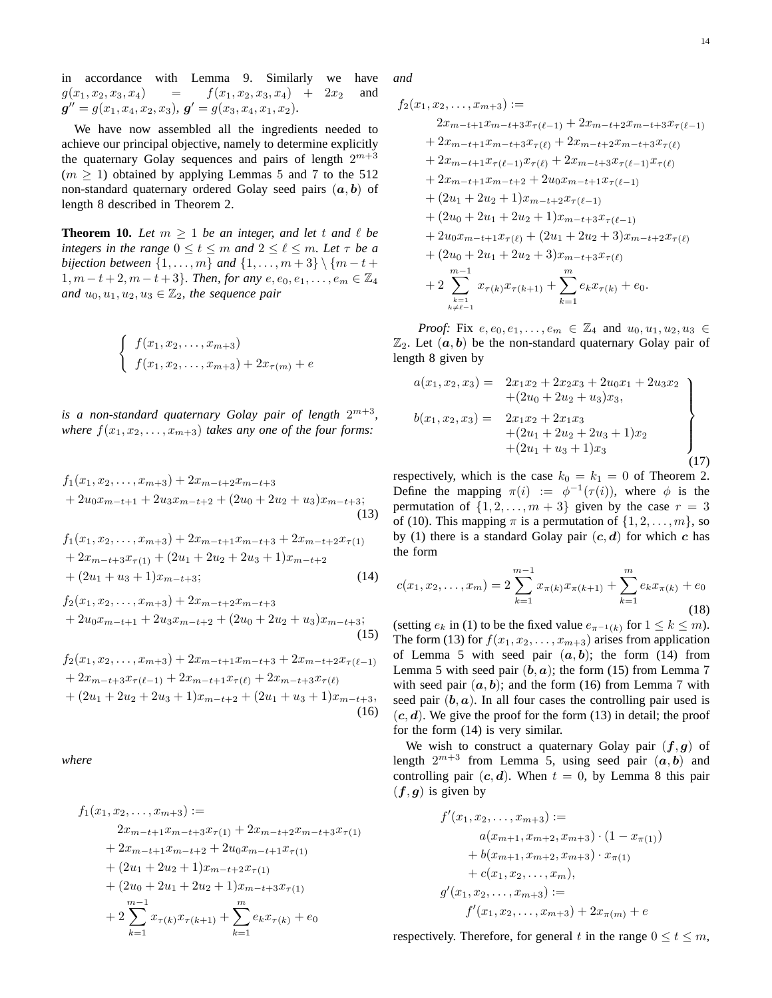in accordance with Lemma 9. Similarly we have  $g(x_1, x_2, x_3, x_4)$  =  $f(x_1, x_2, x_3, x_4)$  +  $2x_2$  and  $g'' = g(x_1, x_4, x_2, x_3), g' = g(x_3, x_4, x_1, x_2).$ 

We have now assembled all the ingredients needed to achieve our principal objective, namely to determine explicitly the quaternary Golay sequences and pairs of length  $2^{m+3}$  $(m > 1)$  obtained by applying Lemmas 5 and 7 to the 512 non-standard quaternary ordered Golay seed pairs  $(a, b)$  of length 8 described in Theorem 2.

**Theorem 10.** Let  $m \geq 1$  be an integer, and let t and  $\ell$  be *integers in the range*  $0 \le t \le m$  *and*  $2 \le \ell \le m$ *. Let*  $\tau$  *be a bijection between*  $\{1, ..., m\}$  *and*  $\{1, ..., m + 3\} \setminus \{m - t +$  $1, m-t+2, m-t+3$ *}. Then, for any*  $e, e_0, e_1, \ldots, e_m \in \mathbb{Z}_4$ *and*  $u_0, u_1, u_2, u_3 \in \mathbb{Z}_2$ *, the sequence pair* 

$$
\begin{cases}\n f(x_1, x_2, \dots, x_{m+3}) \\
 f(x_1, x_2, \dots, x_{m+3}) + 2x_{\tau(m)} + e\n\end{cases}
$$

is a non-standard quaternary Golay pair of length  $2^{m+3}$ , *where*  $f(x_1, x_2, \ldots, x_{m+3})$  *takes any one of the four forms:* 

$$
f_1(x_1, x_2,..., x_{m+3}) + 2x_{m-t+2}x_{m-t+3}
$$
  
+ 2u<sub>0</sub>x<sub>m-t+1</sub> + 2u<sub>3</sub>x<sub>m-t+2</sub> + (2u<sub>0</sub> + 2u<sub>2</sub> + u<sub>3</sub>)x<sub>m-t+3</sub>;  
(13)

$$
f_1(x_1, x_2, \dots, x_{m+3}) + 2x_{m-t+1}x_{m-t+3} + 2x_{m-t+2}x_{\tau(1)}
$$
  
+ 
$$
2x_{m-t+3}x_{\tau(1)} + (2u_1 + 2u_2 + 2u_3 + 1)x_{m-t+2}
$$
  
+ 
$$
(2u_1 + u_3 + 1)x_{m-t+3};
$$
  
(14)

$$
f_2(x_1, x_2,..., x_{m+3}) + 2x_{m-t+2}x_{m-t+3}
$$
  
+ 2u<sub>0</sub>x<sub>m-t+1</sub> + 2u<sub>3</sub>x<sub>m-t+2</sub> + (2u<sub>0</sub> + 2u<sub>2</sub> + u<sub>3</sub>)x<sub>m-t+3</sub>;  
(15)

$$
f_2(x_1, x_2, \dots, x_{m+3}) + 2x_{m-t+1}x_{m-t+3} + 2x_{m-t+2}x_{\tau(\ell-1)} + 2x_{m-t+3}x_{\tau(\ell-1)} + 2x_{m-t+1}x_{\tau(\ell)} + 2x_{m-t+3}x_{\tau(\ell)} + (2u_1 + 2u_2 + 2u_3 + 1)x_{m-t+2} + (2u_1 + u_3 + 1)x_{m-t+3},
$$
\n(16)

*where*

$$
f_1(x_1, x_2, \dots, x_{m+3}) :=
$$
  
\n
$$
2x_{m-t+1}x_{m-t+3}x_{\tau(1)} + 2x_{m-t+2}x_{m-t+3}x_{\tau(1)}
$$
  
\n
$$
+ 2x_{m-t+1}x_{m-t+2} + 2u_0x_{m-t+1}x_{\tau(1)}
$$
  
\n
$$
+ (2u_1 + 2u_2 + 1)x_{m-t+2}x_{\tau(1)}
$$
  
\n
$$
+ (2u_0 + 2u_1 + 2u_2 + 1)x_{m-t+3}x_{\tau(1)}
$$
  
\n
$$
+ 2\sum_{k=1}^{m} x_{\tau(k)}x_{\tau(k+1)} + \sum_{k=1}^{m} e_kx_{\tau(k)} + e_0
$$

*and*

$$
f_2(x_1, x_2, \ldots, x_{m+3}) :=
$$
  
\n
$$
2x_{m-t+1}x_{m-t+3}x_{\tau(\ell-1)} + 2x_{m-t+2}x_{m-t+3}x_{\tau(\ell-1)}
$$
  
\n
$$
+ 2x_{m-t+1}x_{m-t+3}x_{\tau(\ell)} + 2x_{m-t+2}x_{m-t+3}x_{\tau(\ell)}
$$
  
\n
$$
+ 2x_{m-t+1}x_{\tau(\ell-1)}x_{\tau(\ell)} + 2x_{m-t+3}x_{\tau(\ell-1)}x_{\tau(\ell)}
$$
  
\n
$$
+ 2x_{m-t+1}x_{m-t+2} + 2u_0x_{m-t+1}x_{\tau(\ell-1)}
$$
  
\n
$$
+ (2u_1 + 2u_2 + 1)x_{m-t+2}x_{\tau(\ell-1)}
$$
  
\n
$$
+ (2u_0 + 2u_1 + 2u_2 + 1)x_{m-t+3}x_{\tau(\ell-1)}
$$
  
\n
$$
+ 2u_0x_{m-t+1}x_{\tau(\ell)} + (2u_1 + 2u_2 + 3)x_{m-t+2}x_{\tau(\ell)}
$$
  
\n
$$
+ (2u_0 + 2u_1 + 2u_2 + 3)x_{m-t+3}x_{\tau(\ell)}
$$
  
\n
$$
+ 2\sum_{\substack{k=1 \ k \neq \ell-1}}^{m-1} x_{\tau(k)}x_{\tau(k+1)} + \sum_{k=1}^{m} e_kx_{\tau(k)} + e_0.
$$

*Proof:* Fix  $e, e_0, e_1, \ldots, e_m \in \mathbb{Z}_4$  and  $u_0, u_1, u_2, u_3 \in$  $\mathbb{Z}_2$ . Let  $(a, b)$  be the non-standard quaternary Golay pair of length 8 given by

$$
a(x_1, x_2, x_3) = 2x_1x_2 + 2x_2x_3 + 2u_0x_1 + 2u_3x_2
$$
  
+
$$
(2u_0 + 2u_2 + u_3)x_3,
$$
  

$$
b(x_1, x_2, x_3) = 2x_1x_2 + 2x_1x_3
$$
  
+
$$
(2u_1 + 2u_2 + 2u_3 + 1)x_2
$$
  
+
$$
(2u_1 + u_3 + 1)x_3
$$
  
(17)

respectively, which is the case  $k_0 = k_1 = 0$  of Theorem 2. Define the mapping  $\pi(i) := \phi^{-1}(\tau(i))$ , where  $\phi$  is the permutation of  $\{1, 2, \ldots, m+3\}$  given by the case  $r = 3$ of (10). This mapping  $\pi$  is a permutation of  $\{1, 2, \ldots, m\}$ , so by (1) there is a standard Golay pair  $(c, d)$  for which c has the form

$$
c(x_1, x_2, \dots, x_m) = 2 \sum_{k=1}^{m-1} x_{\pi(k)} x_{\pi(k+1)} + \sum_{k=1}^m e_k x_{\pi(k)} + e_0
$$
\n(18)

(setting  $e_k$  in (1) to be the fixed value  $e_{\pi^{-1}(k)}$  for  $1 \leq k \leq m$ ). The form (13) for  $f(x_1, x_2, \ldots, x_{m+3})$  arises from application of Lemma 5 with seed pair  $(a, b)$ ; the form (14) from Lemma 5 with seed pair  $(b, a)$ ; the form (15) from Lemma 7 with seed pair  $(a, b)$ ; and the form (16) from Lemma 7 with seed pair  $(b, a)$ . In all four cases the controlling pair used is  $(c, d)$ . We give the proof for the form (13) in detail; the proof for the form (14) is very similar.

We wish to construct a quaternary Golay pair  $(f, g)$  of length  $2^{m+3}$  from Lemma 5, using seed pair  $(a, b)$  and controlling pair  $(c, d)$ . When  $t = 0$ , by Lemma 8 this pair  $(f, g)$  is given by

$$
f'(x_1, x_2, \dots, x_{m+3}) :=
$$
  
\n
$$
a(x_{m+1}, x_{m+2}, x_{m+3}) \cdot (1 - x_{\pi(1)})
$$
  
\n
$$
+ b(x_{m+1}, x_{m+2}, x_{m+3}) \cdot x_{\pi(1)}
$$
  
\n
$$
+ c(x_1, x_2, \dots, x_m),
$$
  
\n
$$
g'(x_1, x_2, \dots, x_{m+3}) :=
$$
  
\n
$$
f'(x_1, x_2, \dots, x_{m+3}) + 2x_{\pi(m)} + e
$$

respectively. Therefore, for general t in the range  $0 \le t \le m$ ,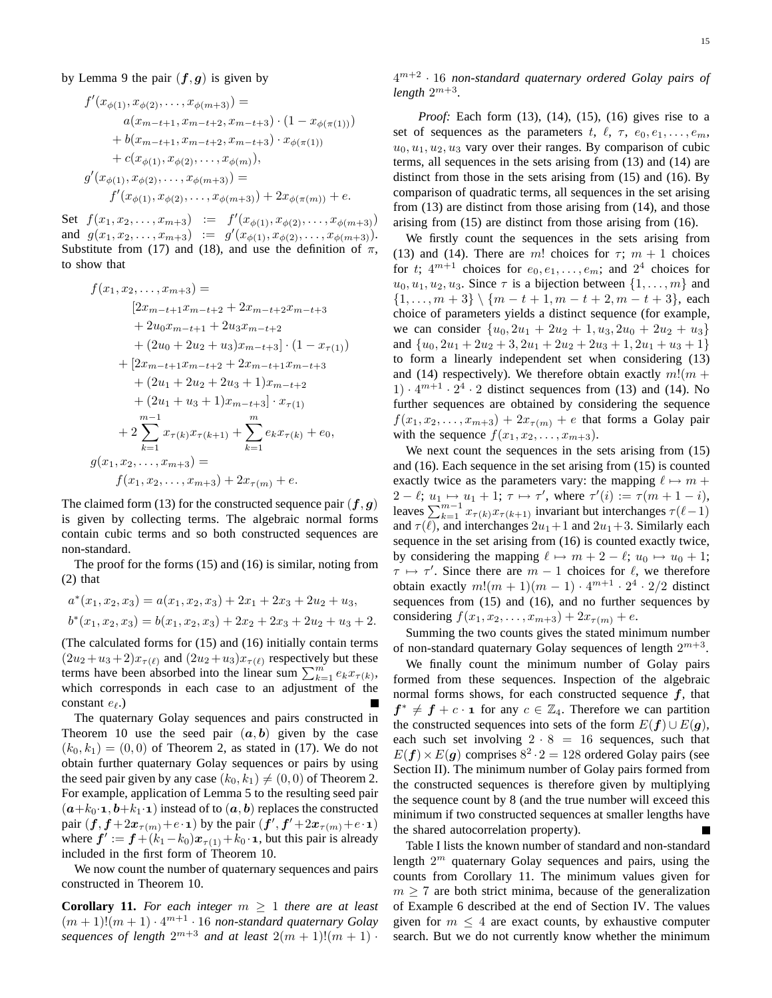by Lemma 9 the pair  $(f, g)$  is given by

$$
f'(x_{\phi(1)}, x_{\phi(2)}, \dots, x_{\phi(m+3)}) =
$$
  
\n
$$
a(x_{m-t+1}, x_{m-t+2}, x_{m-t+3}) \cdot (1 - x_{\phi(\pi(1))})
$$
  
\n
$$
+ b(x_{m-t+1}, x_{m-t+2}, x_{m-t+3}) \cdot x_{\phi(\pi(1))}
$$
  
\n
$$
+ c(x_{\phi(1)}, x_{\phi(2)}, \dots, x_{\phi(m)}),
$$
  
\n
$$
g'(x_{\phi(1)}, x_{\phi(2)}, \dots, x_{\phi(m+3)}) =
$$
  
\n
$$
f'(x_{\phi(1)}, x_{\phi(2)}, \dots, x_{\phi(m+3)}) + 2x_{\phi(\pi(m))} + e.
$$

Set  $f(x_1, x_2, \ldots, x_{m+3}) := f'(x_{\phi(1)}, x_{\phi(2)}, \ldots, x_{\phi(m+3)})$ and  $g(x_1, x_2, \ldots, x_{m+3}) := g'(x_{\phi(1)}, x_{\phi(2)}, \ldots, x_{\phi(m+3)}).$ Substitute from (17) and (18), and use the definition of  $\pi$ , to show that

$$
f(x_1, x_2, \dots, x_{m+3}) =
$$
  
\n
$$
[2x_{m-t+1}x_{m-t+2} + 2x_{m-t+2}x_{m-t+3} + 2u_0x_{m-t+1} + 2u_3x_{m-t+2} + (2u_0 + 2u_2 + u_3)x_{m-t+3}] \cdot (1 - x_{\tau(1)})
$$
  
\n
$$
+ [2x_{m-t+1}x_{m-t+2} + 2x_{m-t+1}x_{m-t+3} + (2u_1 + 2u_2 + 2u_3 + 1)x_{m-t+2} + (2u_1 + u_3 + 1)x_{m-t+3}] \cdot x_{\tau(1)}
$$
  
\n
$$
+ 2 \sum_{k=1}^{m-1} x_{\tau(k)}x_{\tau(k+1)} + \sum_{k=1}^{m} e_k x_{\tau(k)} + e_0,
$$
  
\n
$$
g(x_1, x_2, \dots, x_{m+3}) =
$$
  
\n
$$
f(x_1, x_2, \dots, x_{m+3}) + 2x_{\tau(m)} + e.
$$

The claimed form (13) for the constructed sequence pair  $(f, g)$ is given by collecting terms. The algebraic normal forms contain cubic terms and so both constructed sequences are non-standard.

The proof for the forms (15) and (16) is similar, noting from (2) that

$$
a^*(x_1, x_2, x_3) = a(x_1, x_2, x_3) + 2x_1 + 2x_3 + 2u_2 + u_3,
$$
  

$$
b^*(x_1, x_2, x_3) = b(x_1, x_2, x_3) + 2x_2 + 2x_3 + 2u_2 + u_3 + 2.
$$

(The calculated forms for (15) and (16) initially contain terms  $(2u_2 + u_3 + 2)x_{\tau(\ell)}$  and  $(2u_2 + u_3)x_{\tau(\ell)}$  respectively but these terms have been absorbed into the linear sum  $\sum_{k=1}^{m} e_k x_{\tau(k)}$ , which corresponds in each case to an adjustment of the constant eℓ.)

The quaternary Golay sequences and pairs constructed in Theorem 10 use the seed pair  $(a, b)$  given by the case  $(k_0, k_1) = (0, 0)$  of Theorem 2, as stated in (17). We do not obtain further quaternary Golay sequences or pairs by using the seed pair given by any case  $(k_0, k_1) \neq (0, 0)$  of Theorem 2. For example, application of Lemma 5 to the resulting seed pair  $(a+k_0\cdot\mathbf{1}, b+k_1\cdot\mathbf{1})$  instead of to  $(a, b)$  replaces the constructed pair  $(f, f+2x_{\tau(m)}+e \cdot \mathbf{1})$  by the pair  $(f', f'+2x_{\tau(m)}+e \cdot \mathbf{1})$ where  $f' := f + (k_1 - k_0)x_{\tau(1)} + k_0 \cdot \mathbf{1}$ , but this pair is already included in the first form of Theorem 10.

We now count the number of quaternary sequences and pairs constructed in Theorem 10.

**Corollary 11.** For each integer  $m \geq 1$  there are at least  $(m+1)!(m+1)\cdot 4^{m+1}\cdot 16$  non-standard quaternary Golay sequences of length  $2^{m+3}$  and at least  $2(m + 1)!(m + 1)$ . 4 m+2 · 16 *non-standard quaternary ordered Golay pairs of*  $length\ 2^{m+3}.$ 

*Proof:* Each form (13), (14), (15), (16) gives rise to a set of sequences as the parameters t,  $\ell$ ,  $\tau$ ,  $e_0, e_1, \ldots, e_m$ ,  $u_0, u_1, u_2, u_3$  vary over their ranges. By comparison of cubic terms, all sequences in the sets arising from (13) and (14) are distinct from those in the sets arising from (15) and (16). By comparison of quadratic terms, all sequences in the set arising from (13) are distinct from those arising from (14), and those arising from (15) are distinct from those arising from (16).

We firstly count the sequences in the sets arising from (13) and (14). There are m! choices for  $\tau$ ;  $m + 1$  choices for t;  $4^{m+1}$  choices for  $e_0, e_1, \ldots, e_m$ ; and  $2^4$  choices for  $u_0, u_1, u_2, u_3$ . Since  $\tau$  is a bijection between  $\{1, \ldots, m\}$  and  $\{1, \ldots, m+3\} \setminus \{m-t+1, m-t+2, m-t+3\}$ , each choice of parameters yields a distinct sequence (for example, we can consider  $\{u_0, 2u_1 + 2u_2 + 1, u_3, 2u_0 + 2u_2 + u_3\}$ and  ${u_0, 2u_1 + 2u_2 + 3, 2u_1 + 2u_2 + 2u_3 + 1, 2u_1 + u_3 + 1}$ to form a linearly independent set when considering (13) and (14) respectively). We therefore obtain exactly  $m!(m +$  $1) \cdot 4^{m+1} \cdot 2^4 \cdot 2$  distinct sequences from (13) and (14). No further sequences are obtained by considering the sequence  $f(x_1, x_2, \ldots, x_{m+3}) + 2x_{\tau(m)} + e$  that forms a Golay pair with the sequence  $f(x_1, x_2, \ldots, x_{m+3})$ .

We next count the sequences in the sets arising from (15) and (16). Each sequence in the set arising from (15) is counted exactly twice as the parameters vary: the mapping  $\ell \mapsto m + \ell$  $2 - \ell; u_1 \mapsto u_1 + 1; \tau \mapsto \tau'$ , where  $\tau'(i) := \tau(m + 1 - i),$ leaves  $\sum_{k=1}^{m-1} x_{\tau(k)} x_{\tau(k+1)}$  invariant but interchanges  $\tau(\ell-1)$ and  $\tau(\ell)$ , and interchanges  $2u_1+1$  and  $2u_1+3$ . Similarly each sequence in the set arising from (16) is counted exactly twice, by considering the mapping  $\ell \mapsto m + 2 - \ell$ ;  $u_0 \mapsto u_0 + 1$ ;  $\tau \mapsto \tau'$ . Since there are  $m-1$  choices for  $\ell$ , we therefore obtain exactly  $m!(m + 1)(m - 1) \cdot 4^{m+1} \cdot 2^4 \cdot 2/2$  distinct sequences from (15) and (16), and no further sequences by considering  $f(x_1, x_2, \ldots, x_{m+3}) + 2x_{\tau(m)} + e$ .

Summing the two counts gives the stated minimum number of non-standard quaternary Golay sequences of length  $2^{m+3}$ .

We finally count the minimum number of Golay pairs formed from these sequences. Inspection of the algebraic normal forms shows, for each constructed sequence  $f$ , that  $f^* \neq f + c \cdot \mathbf{1}$  for any  $c \in \mathbb{Z}_4$ . Therefore we can partition the constructed sequences into sets of the form  $E(f) \cup E(q)$ , each such set involving  $2 \cdot 8 = 16$  sequences, such that  $E(f) \times E(g)$  comprises  $8^2 \cdot 2 = 128$  ordered Golay pairs (see Section II). The minimum number of Golay pairs formed from the constructed sequences is therefore given by multiplying the sequence count by 8 (and the true number will exceed this minimum if two constructed sequences at smaller lengths have the shared autocorrelation property).

Table I lists the known number of standard and non-standard length  $2^m$  quaternary Golay sequences and pairs, using the counts from Corollary 11. The minimum values given for  $m \geq 7$  are both strict minima, because of the generalization of Example 6 described at the end of Section IV. The values given for  $m \leq 4$  are exact counts, by exhaustive computer search. But we do not currently know whether the minimum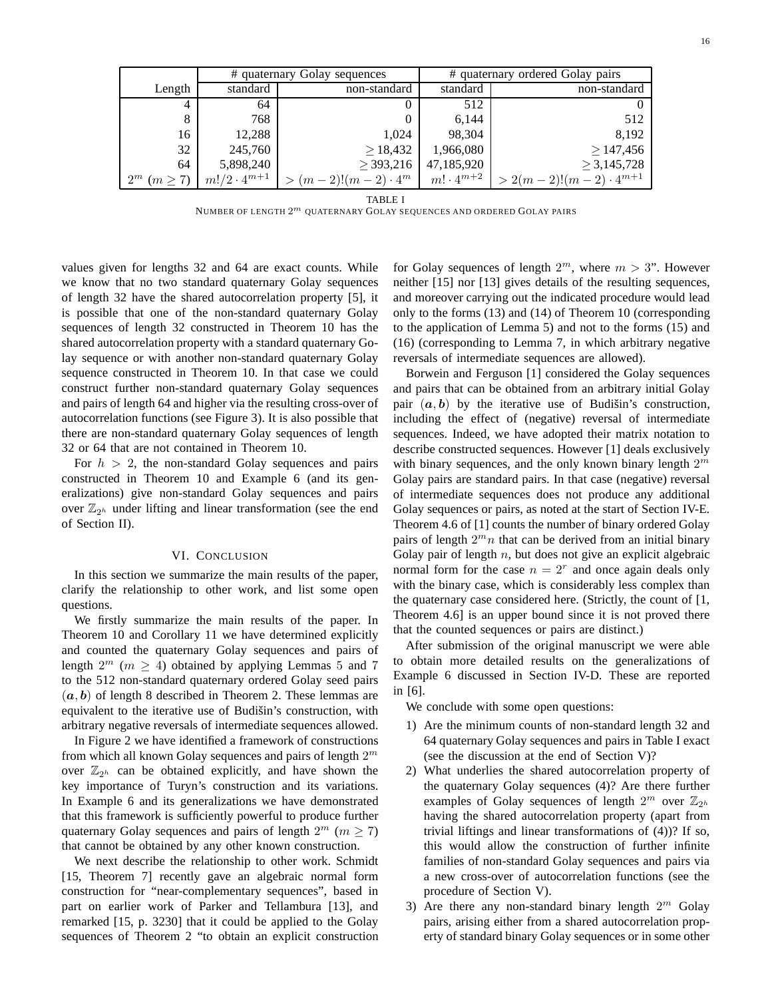|                    |                     | # quaternary Golay sequences | # quaternary ordered Golay pairs |                               |  |  |  |
|--------------------|---------------------|------------------------------|----------------------------------|-------------------------------|--|--|--|
| Length             | standard            | non-standard                 | standard                         | non-standard                  |  |  |  |
| 4                  | 64                  | O                            | 512                              |                               |  |  |  |
| 8                  | 768                 | $\theta$                     | 6.144                            | 512                           |  |  |  |
| 16                 | 12,288              | 1,024                        | 98,304                           | 8,192                         |  |  |  |
| 32                 | 245,760             | $\geq$ 18,432                | 1,966,080                        | >147,456                      |  |  |  |
| 64                 | 5,898,240           | $\geq$ 393,216               | 47,185,920                       | $\geq 3,145,728$              |  |  |  |
| $2^m$ $(m \geq 7)$ | $m!/2\cdot 4^{m+1}$ | $> (m-2)!(m-2) \cdot 4^m$    | $m! \cdot 4^{m+2}$               | $> 2(m-2)!(m-2)\cdot 4^{m+1}$ |  |  |  |

TABLE I

NUMBER OF LENGTH $2^m$  QUATERNARY GOLAY SEQUENCES AND ORDERED GOLAY PAIRS

values given for lengths 32 and 64 are exact counts. While we know that no two standard quaternary Golay sequences of length 32 have the shared autocorrelation property [5], it is possible that one of the non-standard quaternary Golay sequences of length 32 constructed in Theorem 10 has the shared autocorrelation property with a standard quaternary Golay sequence or with another non-standard quaternary Golay sequence constructed in Theorem 10. In that case we could construct further non-standard quaternary Golay sequences and pairs of length 64 and higher via the resulting cross-over of autocorrelation functions (see Figure 3). It is also possible that there are non-standard quaternary Golay sequences of length 32 or 64 that are not contained in Theorem 10.

For  $h > 2$ , the non-standard Golay sequences and pairs constructed in Theorem 10 and Example 6 (and its generalizations) give non-standard Golay sequences and pairs over  $\mathbb{Z}_{2^h}$  under lifting and linear transformation (see the end of Section II).

## VI. CONCLUSION

In this section we summarize the main results of the paper, clarify the relationship to other work, and list some open questions.

We firstly summarize the main results of the paper. In Theorem 10 and Corollary 11 we have determined explicitly and counted the quaternary Golay sequences and pairs of length  $2^m$  ( $m \ge 4$ ) obtained by applying Lemmas 5 and 7 to the 512 non-standard quaternary ordered Golay seed pairs  $(a, b)$  of length 8 described in Theorem 2. These lemmas are equivalent to the iterative use of Budišin's construction, with arbitrary negative reversals of intermediate sequences allowed.

In Figure 2 we have identified a framework of constructions from which all known Golay sequences and pairs of length  $2^m$ over  $\mathbb{Z}_{2^h}$  can be obtained explicitly, and have shown the key importance of Turyn's construction and its variations. In Example 6 and its generalizations we have demonstrated that this framework is sufficiently powerful to produce further quaternary Golay sequences and pairs of length  $2^m$  ( $m \ge 7$ ) that cannot be obtained by any other known construction.

We next describe the relationship to other work. Schmidt [15, Theorem 7] recently gave an algebraic normal form construction for "near-complementary sequences", based in part on earlier work of Parker and Tellambura [13], and remarked [15, p. 3230] that it could be applied to the Golay sequences of Theorem 2 "to obtain an explicit construction

for Golay sequences of length  $2^m$ , where  $m > 3$ ". However neither [15] nor [13] gives details of the resulting sequences, and moreover carrying out the indicated procedure would lead only to the forms (13) and (14) of Theorem 10 (corresponding to the application of Lemma 5) and not to the forms (15) and (16) (corresponding to Lemma 7, in which arbitrary negative reversals of intermediate sequences are allowed).

Borwein and Ferguson [1] considered the Golay sequences and pairs that can be obtained from an arbitrary initial Golay pair  $(a, b)$  by the iterative use of Budišin's construction, including the effect of (negative) reversal of intermediate sequences. Indeed, we have adopted their matrix notation to describe constructed sequences. However [1] deals exclusively with binary sequences, and the only known binary length  $2^m$ Golay pairs are standard pairs. In that case (negative) reversal of intermediate sequences does not produce any additional Golay sequences or pairs, as noted at the start of Section IV-E. Theorem 4.6 of [1] counts the number of binary ordered Golay pairs of length  $2<sup>m</sup>n$  that can be derived from an initial binary Golay pair of length  $n$ , but does not give an explicit algebraic normal form for the case  $n = 2<sup>r</sup>$  and once again deals only with the binary case, which is considerably less complex than the quaternary case considered here. (Strictly, the count of [1, Theorem 4.6] is an upper bound since it is not proved there that the counted sequences or pairs are distinct.)

After submission of the original manuscript we were able to obtain more detailed results on the generalizations of Example 6 discussed in Section IV-D. These are reported in [6].

We conclude with some open questions:

- 1) Are the minimum counts of non-standard length 32 and 64 quaternary Golay sequences and pairs in Table I exact (see the discussion at the end of Section V)?
- 2) What underlies the shared autocorrelation property of the quaternary Golay sequences (4)? Are there further examples of Golay sequences of length  $2^m$  over  $\mathbb{Z}_{2^h}$ having the shared autocorrelation property (apart from trivial liftings and linear transformations of (4))? If so, this would allow the construction of further infinite families of non-standard Golay sequences and pairs via a new cross-over of autocorrelation functions (see the procedure of Section V).
- 3) Are there any non-standard binary length  $2^m$  Golay pairs, arising either from a shared autocorrelation property of standard binary Golay sequences or in some other